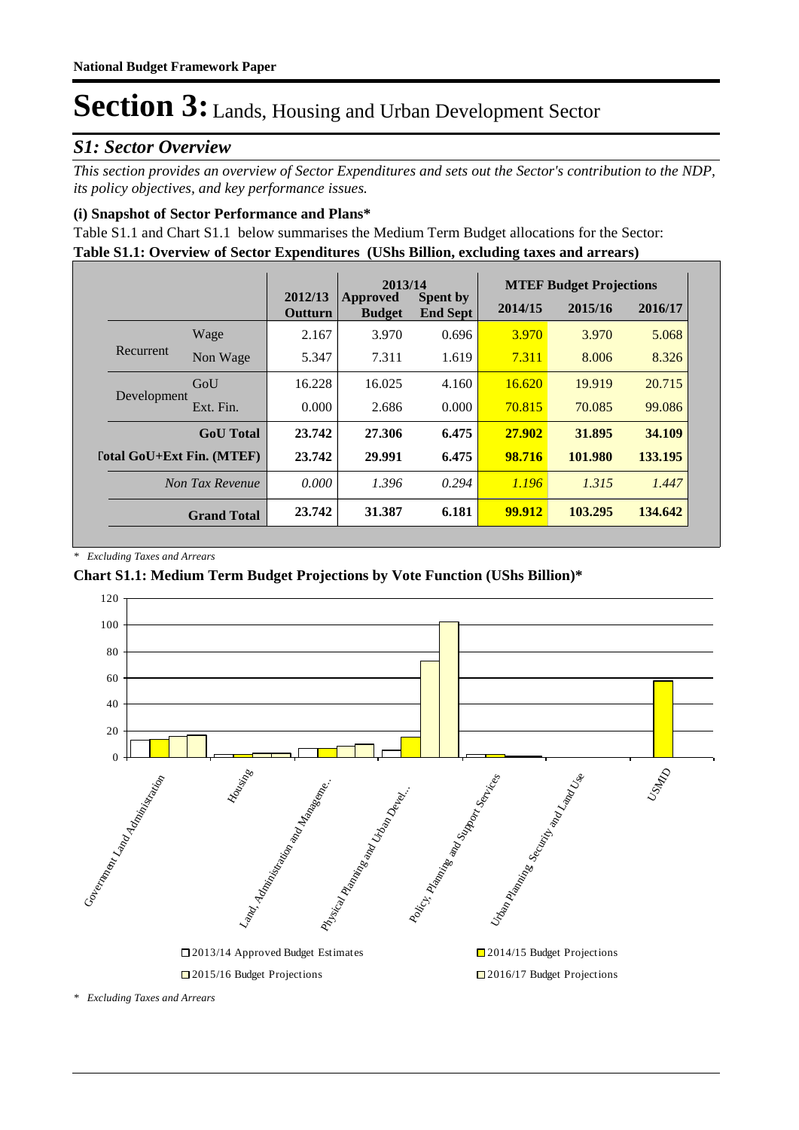# *S1: Sector Overview*

*This section provides an overview of Sector Expenditures and sets out the Sector's contribution to the NDP, its policy objectives, and key performance issues.* 

## **(i) Snapshot of Sector Performance and Plans\***

**Table S1.1: Overview of Sector Expenditures (UShs Billion, excluding taxes and arrears)** Table S1.1 and Chart S1.1 below summarises the Medium Term Budget allocations for the Sector:

|                           |                    |                    | 2013/14                          |                                    |         | <b>MTEF Budget Projections</b> |         |
|---------------------------|--------------------|--------------------|----------------------------------|------------------------------------|---------|--------------------------------|---------|
|                           |                    | 2012/13<br>Outturn | <b>Approved</b><br><b>Budget</b> | <b>Spent by</b><br><b>End Sept</b> | 2014/15 | 2015/16                        | 2016/17 |
|                           | Wage               | 2.167              | 3.970                            | 0.696                              | 3.970   | 3.970                          | 5.068   |
| Recurrent                 | Non Wage           | 5.347              | 7.311                            | 1.619                              | 7.311   | 8.006                          | 8.326   |
|                           | GoU                | 16.228             | 16.025                           | 4.160                              | 16.620  | 19.919                         | 20.715  |
| Development               | Ext. Fin.          | 0.000              | 2.686                            | 0.000                              | 70.815  | 70.085                         | 99.086  |
|                           | <b>GoU</b> Total   | 23.742             | 27.306                           | 6.475                              | 27.902  | 31.895                         | 34.109  |
| [otal GoU+Ext Fin. (MTEF) |                    | 23.742             | 29.991                           | 6.475                              | 98.716  | 101.980                        | 133.195 |
|                           | Non Tax Revenue    | 0.000              | 1.396                            | 0.294                              | 1.196   | 1.315                          | 1.447   |
|                           | <b>Grand Total</b> | 23.742             | 31.387                           | 6.181                              | 99.912  | 103.295                        | 134.642 |

*\* Excluding Taxes and Arrears*

## **Chart S1.1: Medium Term Budget Projections by Vote Function (UShs Billion)\***

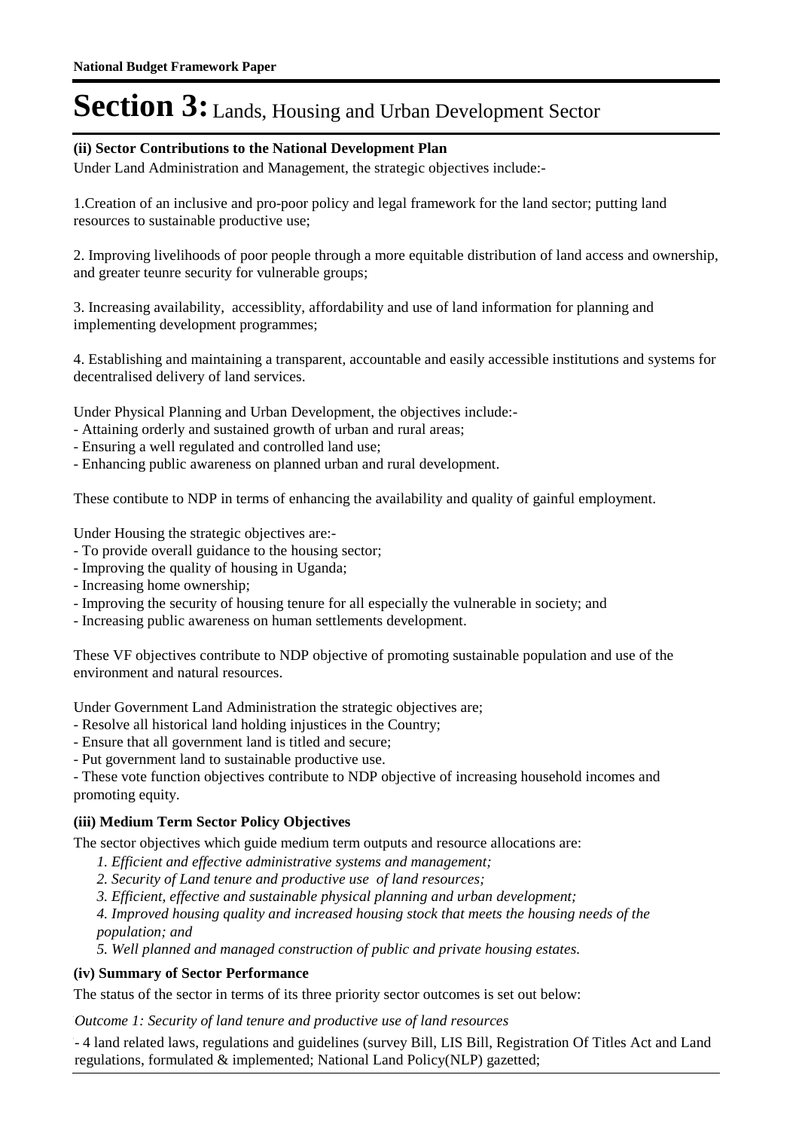## **(ii) Sector Contributions to the National Development Plan**

Under Land Administration and Management, the strategic objectives include:-

1.Creation of an inclusive and pro-poor policy and legal framework for the land sector; putting land resources to sustainable productive use;

2. Improving livelihoods of poor people through a more equitable distribution of land access and ownership, and greater teunre security for vulnerable groups;

3. Increasing availability, accessiblity, affordability and use of land information for planning and implementing development programmes;

4. Establishing and maintaining a transparent, accountable and easily accessible institutions and systems for decentralised delivery of land services.

Under Physical Planning and Urban Development, the objectives include:-

- Attaining orderly and sustained growth of urban and rural areas;
- Ensuring a well regulated and controlled land use;
- Enhancing public awareness on planned urban and rural development.

These contibute to NDP in terms of enhancing the availability and quality of gainful employment.

Under Housing the strategic objectives are:-

- To provide overall guidance to the housing sector;
- Improving the quality of housing in Uganda;
- Increasing home ownership;
- Improving the security of housing tenure for all especially the vulnerable in society; and
- Increasing public awareness on human settlements development.

These VF objectives contribute to NDP objective of promoting sustainable population and use of the environment and natural resources.

Under Government Land Administration the strategic objectives are;

- Resolve all historical land holding injustices in the Country;
- Ensure that all government land is titled and secure;
- Put government land to sustainable productive use.

- These vote function objectives contribute to NDP objective of increasing household incomes and promoting equity.

## **(iii) Medium Term Sector Policy Objectives**

The sector objectives which guide medium term outputs and resource allocations are:

- *1. Efficient and effective administrative systems and management;*
- *2. Security of Land tenure and productive use of land resources;*
- *3. Efficient, effective and sustainable physical planning and urban development;*

*4. Improved housing quality and increased housing stock that meets the housing needs of the population; and*

*5. Well planned and managed construction of public and private housing estates.*

## **(iv) Summary of Sector Performance**

The status of the sector in terms of its three priority sector outcomes is set out below:

Outcome 1: Security of land tenure and productive use of land resources

- 4 land related laws, regulations and guidelines (survey Bill, LIS Bill, Registration Of Titles Act and Land regulations, formulated & implemented; National Land Policy(NLP) gazetted;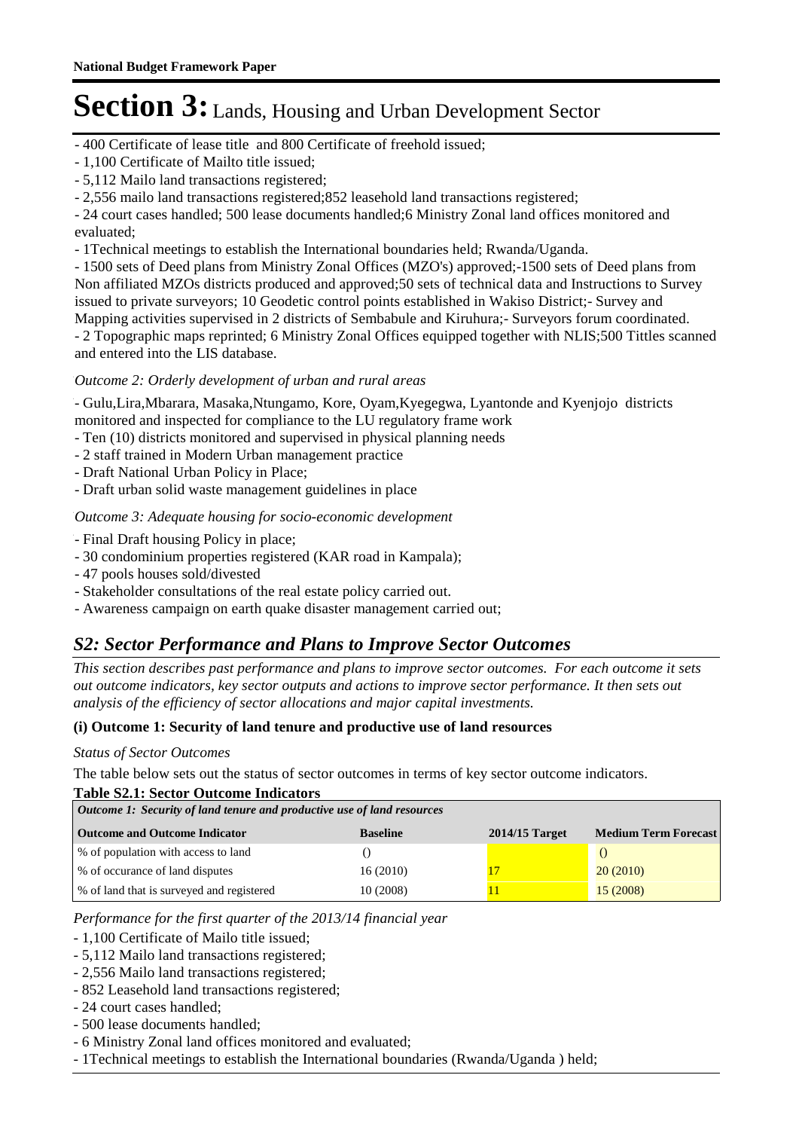- 400 Certificate of lease title and 800 Certificate of freehold issued;

- 1,100 Certificate of Mailto title issued;
- 5,112 Mailo land transactions registered;

- 2,556 mailo land transactions registered;852 leasehold land transactions registered;

- 24 court cases handled; 500 lease documents handled;6 Ministry Zonal land offices monitored and evaluated;

- 1Technical meetings to establish the International boundaries held; Rwanda/Uganda.

- 1500 sets of Deed plans from Ministry Zonal Offices (MZO's) approved;-1500 sets of Deed plans from Non affiliated MZOs districts produced and approved;50 sets of technical data and Instructions to Survey issued to private surveyors; 10 Geodetic control points established in Wakiso District;- Survey and Mapping activities supervised in 2 districts of Sembabule and Kiruhura;- Surveyors forum coordinated. - 2 Topographic maps reprinted; 6 Ministry Zonal Offices equipped together with NLIS;500 Tittles scanned and entered into the LIS database.

## Outcome 2: Orderly development of urban and rural areas

- Gulu,Lira,Mbarara, Masaka,Ntungamo, Kore, Oyam,Kyegegwa, Lyantonde and Kyenjojo districts monitored and inspected for compliance to the LU regulatory frame work

- Ten (10) districts monitored and supervised in physical planning needs
- 2 staff trained in Modern Urban management practice
- Draft National Urban Policy in Place;
- Draft urban solid waste management guidelines in place

### Outcome 3: Adequate housing for socio-economic development

- Final Draft housing Policy in place;
- 30 condominium properties registered (KAR road in Kampala);
- 47 pools houses sold/divested
- Stakeholder consultations of the real estate policy carried out.
- Awareness campaign on earth quake disaster management carried out;

# *S2: Sector Performance and Plans to Improve Sector Outcomes*

*This section describes past performance and plans to improve sector outcomes. For each outcome it sets out outcome indicators, key sector outputs and actions to improve sector performance. It then sets out analysis of the efficiency of sector allocations and major capital investments.*

#### **(i) Outcome 1: Security of land tenure and productive use of land resources**

#### *Status of Sector Outcomes*

The table below sets out the status of sector outcomes in terms of key sector outcome indicators.

#### **Table S2.1: Sector Outcome Indicators**

| Outcome 1: Security of land tenure and productive use of land resources |                 |                  |                             |  |  |
|-------------------------------------------------------------------------|-----------------|------------------|-----------------------------|--|--|
| <b>Outcome and Outcome Indicator</b>                                    | <b>Baseline</b> | $2014/15$ Target | <b>Medium Term Forecast</b> |  |  |
| % of population with access to land                                     |                 |                  |                             |  |  |
| % of occurance of land disputes                                         | 16(2010)        |                  | 20(2010)                    |  |  |
| % of land that is surveyed and registered                               | 10(2008)        |                  | 15(2008)                    |  |  |

*Performance for the first quarter of the 2013/14 financial year*

- 1,100 Certificate of Mailo title issued;

- 5,112 Mailo land transactions registered;
- 2,556 Mailo land transactions registered;
- 852 Leasehold land transactions registered;
- 24 court cases handled;
- 500 lease documents handled;
- 6 Ministry Zonal land offices monitored and evaluated;
- 1Technical meetings to establish the International boundaries (Rwanda/Uganda ) held;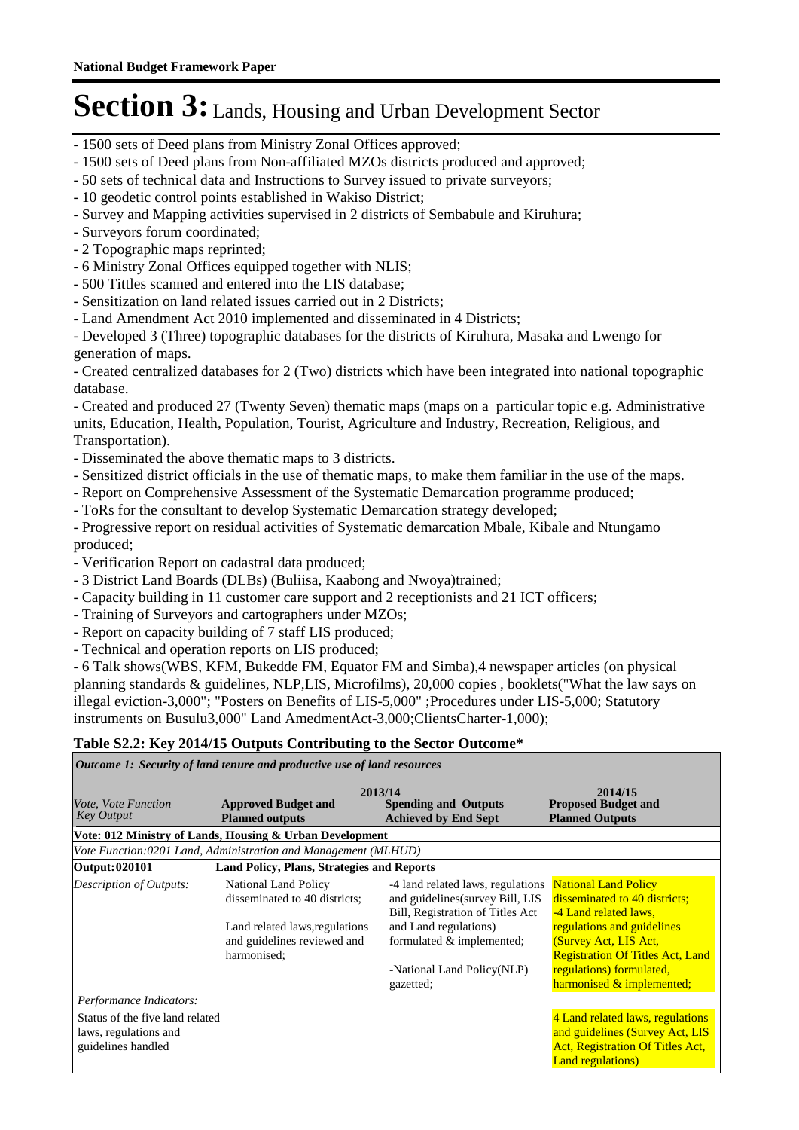- 1500 sets of Deed plans from Ministry Zonal Offices approved;
- 1500 sets of Deed plans from Non-affiliated MZOs districts produced and approved;
- 50 sets of technical data and Instructions to Survey issued to private surveyors;
- 10 geodetic control points established in Wakiso District;
- Survey and Mapping activities supervised in 2 districts of Sembabule and Kiruhura;
- Surveyors forum coordinated;
- 2 Topographic maps reprinted;
- 6 Ministry Zonal Offices equipped together with NLIS;
- 500 Tittles scanned and entered into the LIS database;
- Sensitization on land related issues carried out in 2 Districts;
- Land Amendment Act 2010 implemented and disseminated in 4 Districts;

- Developed 3 (Three) topographic databases for the districts of Kiruhura, Masaka and Lwengo for generation of maps.

- Created centralized databases for 2 (Two) districts which have been integrated into national topographic database.

- Created and produced 27 (Twenty Seven) thematic maps (maps on a particular topic e.g. Administrative units, Education, Health, Population, Tourist, Agriculture and Industry, Recreation, Religious, and Transportation).

- Disseminated the above thematic maps to 3 districts.
- Sensitized district officials in the use of thematic maps, to make them familiar in the use of the maps.
- Report on Comprehensive Assessment of the Systematic Demarcation programme produced;
- ToRs for the consultant to develop Systematic Demarcation strategy developed;

- Progressive report on residual activities of Systematic demarcation Mbale, Kibale and Ntungamo produced;

- Verification Report on cadastral data produced;
- 3 District Land Boards (DLBs) (Buliisa, Kaabong and Nwoya)trained;
- Capacity building in 11 customer care support and 2 receptionists and 21 ICT officers;
- Training of Surveyors and cartographers under MZOs;
- Report on capacity building of 7 staff LIS produced;
- Technical and operation reports on LIS produced;

- 6 Talk shows(WBS, KFM, Bukedde FM, Equator FM and Simba),4 newspaper articles (on physical planning standards & guidelines, NLP,LIS, Microfilms), 20,000 copies , booklets("What the law says on illegal eviction-3,000"; "Posters on Benefits of LIS-5,000" ;Procedures under LIS-5,000; Statutory instruments on Busulu3,000" Land AmedmentAct-3,000;ClientsCharter-1,000);

#### **Table S2.2: Key 2014/15 Outputs Contributing to the Sector Outcome\***

*Outcome 1: Security of land tenure and productive use of land resources*

| <i>Vote. Vote Function</i><br><b>Key Output</b>                                | <b>Approved Budget and</b><br><b>Planned outputs</b>                                                                                  | 2013/14<br><b>Spending and Outputs</b><br><b>Achieved by End Sept</b>                                                                                                                                      | 2014/15<br><b>Proposed Budget and</b><br><b>Planned Outputs</b>                                                                                                                                                                                  |
|--------------------------------------------------------------------------------|---------------------------------------------------------------------------------------------------------------------------------------|------------------------------------------------------------------------------------------------------------------------------------------------------------------------------------------------------------|--------------------------------------------------------------------------------------------------------------------------------------------------------------------------------------------------------------------------------------------------|
|                                                                                | Vote: 012 Ministry of Lands, Housing & Urban Development                                                                              |                                                                                                                                                                                                            |                                                                                                                                                                                                                                                  |
|                                                                                | Vote Function:0201 Land, Administration and Management (MLHUD)                                                                        |                                                                                                                                                                                                            |                                                                                                                                                                                                                                                  |
| Output: 020101                                                                 | Land Policy, Plans, Strategies and Reports                                                                                            |                                                                                                                                                                                                            |                                                                                                                                                                                                                                                  |
| <b>Description of Outputs:</b><br>Performance Indicators:                      | National Land Policy<br>disseminated to 40 districts;<br>Land related laws, regulations<br>and guidelines reviewed and<br>harmonised; | -4 land related laws, regulations<br>and guidelines (survey Bill, LIS<br>Bill, Registration of Titles Act<br>and Land regulations)<br>formulated & implemented;<br>-National Land Policy(NLP)<br>gazetted; | <b>National Land Policy</b><br>disseminated to 40 districts;<br>-4 Land related laws,<br>regulations and guidelines<br>(Survey Act, LIS Act,<br><b>Registration Of Titles Act, Land</b><br>regulations) formulated,<br>harmonised & implemented; |
| Status of the five land related<br>laws, regulations and<br>guidelines handled |                                                                                                                                       |                                                                                                                                                                                                            | 4 Land related laws, regulations<br>and guidelines (Survey Act, LIS<br><b>Act, Registration Of Titles Act,</b><br><b>Land regulations</b> )                                                                                                      |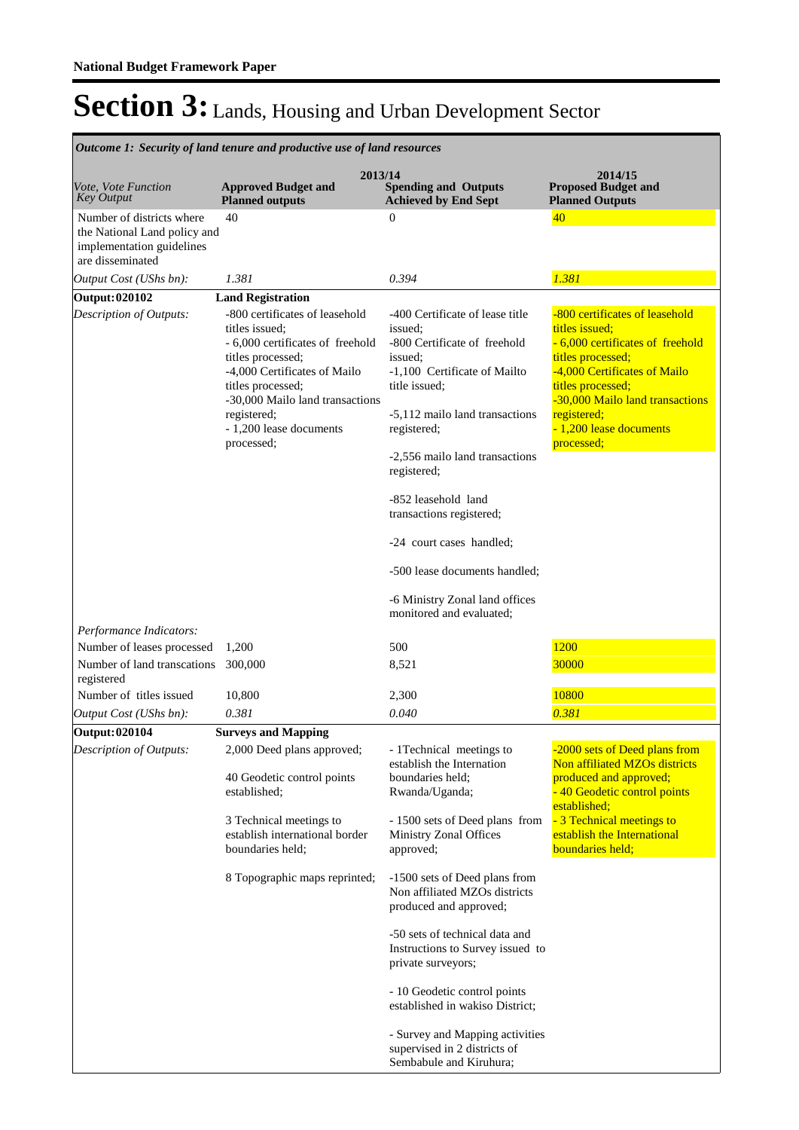| Outcome 1: Security of land tenure and productive use of land resources                                    |                                                                                                                                                                                                                                                                                       |                                                                                                                                                                                                                                                                                                                                                                                                                        |                                                                                                                                                                                                                                                           |  |  |  |
|------------------------------------------------------------------------------------------------------------|---------------------------------------------------------------------------------------------------------------------------------------------------------------------------------------------------------------------------------------------------------------------------------------|------------------------------------------------------------------------------------------------------------------------------------------------------------------------------------------------------------------------------------------------------------------------------------------------------------------------------------------------------------------------------------------------------------------------|-----------------------------------------------------------------------------------------------------------------------------------------------------------------------------------------------------------------------------------------------------------|--|--|--|
| Vote, Vote Function<br><b>Key Output</b>                                                                   | 2013/14<br><b>Approved Budget and</b><br><b>Planned outputs</b>                                                                                                                                                                                                                       | <b>Spending and Outputs</b><br><b>Achieved by End Sept</b>                                                                                                                                                                                                                                                                                                                                                             | 2014/15<br><b>Proposed Budget and</b><br><b>Planned Outputs</b>                                                                                                                                                                                           |  |  |  |
| Number of districts where<br>the National Land policy and<br>implementation guidelines<br>are disseminated | 40                                                                                                                                                                                                                                                                                    | $\boldsymbol{0}$                                                                                                                                                                                                                                                                                                                                                                                                       | 40 <sup>°</sup>                                                                                                                                                                                                                                           |  |  |  |
| Output Cost (UShs bn):                                                                                     | 1.381                                                                                                                                                                                                                                                                                 | 0.394                                                                                                                                                                                                                                                                                                                                                                                                                  | 1.381                                                                                                                                                                                                                                                     |  |  |  |
| Output: 020102<br>Description of Outputs:                                                                  | <b>Land Registration</b><br>-800 certificates of leasehold<br>titles issued;<br>- 6,000 certificates of freehold<br>titles processed;<br>-4,000 Certificates of Mailo<br>titles processed;<br>-30,000 Mailo land transactions<br>registered;<br>- 1,200 lease documents<br>processed; | -400 Certificate of lease title<br>issued:<br>-800 Certificate of freehold<br>issued:<br>-1,100 Certificate of Mailto<br>title issued;<br>-5,112 mailo land transactions<br>registered;<br>-2,556 mailo land transactions<br>registered;<br>-852 leasehold land<br>transactions registered;<br>-24 court cases handled;<br>-500 lease documents handled;<br>-6 Ministry Zonal land offices<br>monitored and evaluated; | -800 certificates of leasehold<br>titles issued;<br>- 6,000 certificates of freehold<br>titles processed;<br>-4,000 Certificates of Mailo<br>titles processed;<br>-30,000 Mailo land transactions<br>registered;<br>- 1,200 lease documents<br>processed; |  |  |  |
| Performance Indicators:<br>Number of leases processed                                                      | 1,200                                                                                                                                                                                                                                                                                 | 500                                                                                                                                                                                                                                                                                                                                                                                                                    | 1200                                                                                                                                                                                                                                                      |  |  |  |
| Number of land transcations<br>registered                                                                  | 300,000                                                                                                                                                                                                                                                                               | 8,521                                                                                                                                                                                                                                                                                                                                                                                                                  | 30000                                                                                                                                                                                                                                                     |  |  |  |
| Number of titles issued                                                                                    | 10,800                                                                                                                                                                                                                                                                                | 2,300                                                                                                                                                                                                                                                                                                                                                                                                                  | 10800                                                                                                                                                                                                                                                     |  |  |  |
| Output Cost (UShs bn):                                                                                     | 0.381                                                                                                                                                                                                                                                                                 | 0.040                                                                                                                                                                                                                                                                                                                                                                                                                  | 0.381                                                                                                                                                                                                                                                     |  |  |  |
| Output: 020104<br>Description of Outputs:                                                                  | <b>Surveys and Mapping</b><br>2,000 Deed plans approved;<br>40 Geodetic control points<br>established:<br>3 Technical meetings to                                                                                                                                                     | - 1 Technical meetings to<br>establish the Internation<br>boundaries held;<br>Rwanda/Uganda;<br>- 1500 sets of Deed plans from                                                                                                                                                                                                                                                                                         | -2000 sets of Deed plans from<br>Non affiliated MZOs districts<br>produced and approved;<br>- 40 Geodetic control points<br>established;<br>- 3 Technical meetings to                                                                                     |  |  |  |
|                                                                                                            | establish international border<br>boundaries held;                                                                                                                                                                                                                                    | Ministry Zonal Offices<br>approved;                                                                                                                                                                                                                                                                                                                                                                                    | establish the International<br>boundaries held;                                                                                                                                                                                                           |  |  |  |
|                                                                                                            | 8 Topographic maps reprinted;                                                                                                                                                                                                                                                         | -1500 sets of Deed plans from<br>Non affiliated MZOs districts<br>produced and approved;                                                                                                                                                                                                                                                                                                                               |                                                                                                                                                                                                                                                           |  |  |  |
|                                                                                                            |                                                                                                                                                                                                                                                                                       | -50 sets of technical data and<br>Instructions to Survey issued to<br>private surveyors;                                                                                                                                                                                                                                                                                                                               |                                                                                                                                                                                                                                                           |  |  |  |
|                                                                                                            |                                                                                                                                                                                                                                                                                       | - 10 Geodetic control points<br>established in wakiso District;                                                                                                                                                                                                                                                                                                                                                        |                                                                                                                                                                                                                                                           |  |  |  |
|                                                                                                            |                                                                                                                                                                                                                                                                                       | - Survey and Mapping activities<br>supervised in 2 districts of<br>Sembabule and Kiruhura;                                                                                                                                                                                                                                                                                                                             |                                                                                                                                                                                                                                                           |  |  |  |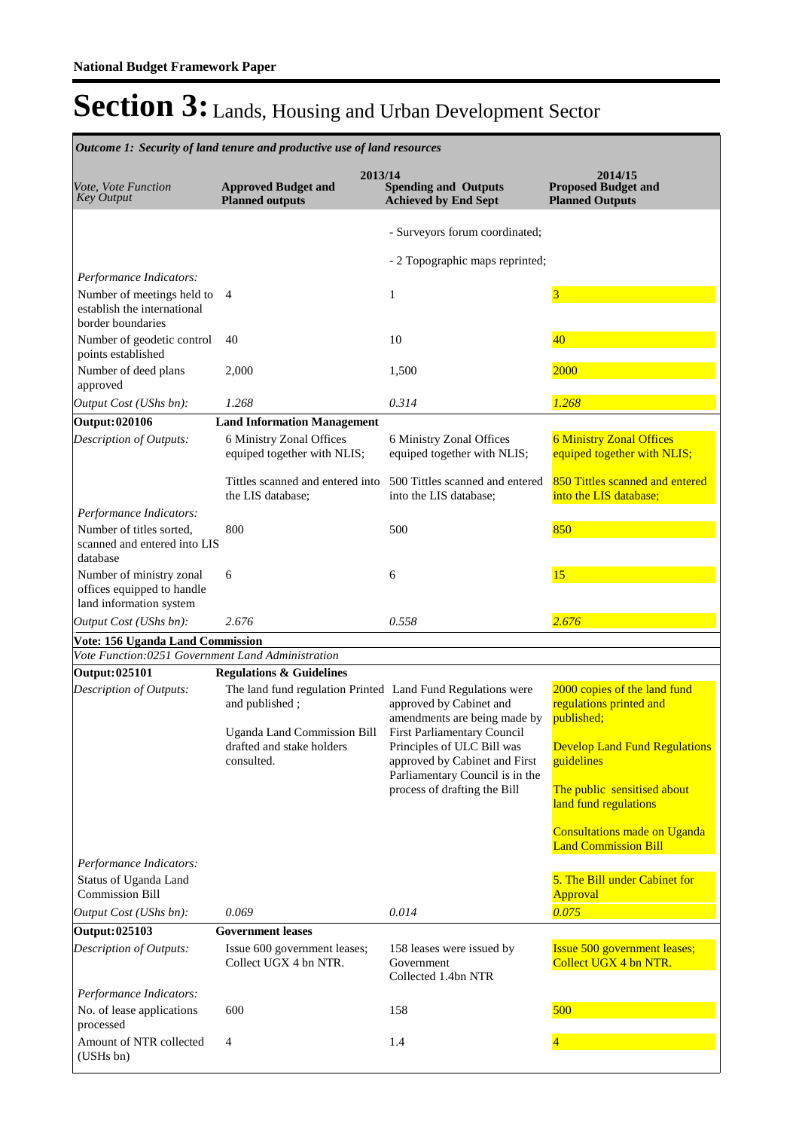**Spending and Outputs Achieved by End Sept Approved Budget and Planned outputs Proposed Budget and Planned Outputs 2013/14** *Vote, Vote Function Key Output* **2014/15** *Outcome 1: Security of land tenure and productive use of land resources* - Surveyors forum coordinated; - 2 Topographic maps reprinted; *Output Cost (UShs bn): 1.268 0.314 1.268 Performance Indicators:* Number of meetings held to 4 establish the international border boundaries 4 1 3 Number of geodetic control points established 40 and 10 and 10 and 10 and 10 and 10 and 10 and 10 and 10 and 10 and 10 and 10 and 10 and 10 and 10 and 10 and 10 and 10 and 10 and 10 and 10 and 10 and 10 and 10 and 10 and 10 and 10 and 10 and 10 and 10 and 10 and 10 an Number of deed plans approved 2,000 1,500 2000 **Output: 020106 Land Information Management** 6 Ministry Zonal Offices equiped together with NLIS; Tittles scanned and entered into the LIS database; 6 Ministry Zonal Offices equiped together with NLIS; 500 Tittles scanned and entered into the LIS database; 6 Ministry Zonal Offices equiped together with NLIS; 850 Tittles scanned and entered into the LIS database; *Output Cost (UShs bn): 2.676 0.558 2.676 Description of Outputs: Performance Indicators:* Number of titles sorted, scanned and entered into LIS database 800 500 500 850 Number of ministry zonal offices equipped to handle land information system 6 6 15 **Vote: 156 Uganda Land Commission** *Vote Function:0251 Government Land Administration* **Output: 025101 Regulations & Guidelines** The land fund regulation Printed Land Fund Regulations were and published ; Uganda Land Commission Bill drafted and stake holders consulted. approved by Cabinet and amendments are being made by First Parliamentary Council Principles of ULC Bill was approved by Cabinet and First Parliamentary Council is in the process of drafting the Bill 2000 copies of the land fund regulations printed and published; Develop Land Fund Regulations guidelines The public sensitised about land fund regulations Consultations made on Uganda Land Commission Bill *Output Cost (UShs bn): 0.069 0.014 0.075 Description of Outputs: Performance Indicators:* Status of Uganda Land Commission Bill 5. The Bill under Cabinet for Approval **Output: 025103 Government leases** Issue 600 government leases; Collect UGX 4 bn NTR. 158 leases were issued by Government Collected 1.4bn NTR Issue 500 government leases; Collect UGX 4 bn NTR. *Description of Outputs: Performance Indicators:* No. of lease applications processed 600 158 500 Amount of NTR collected (USHs bn) 4 1.4 and 1.4 and 1.4 and 1.4 and 1.4 and 1.4 and 1.4 and 1.4 and 1.4 and 1.4 and 1.4 and 1.4 and 1.4 and 1.4 and 1.4 and 1.4 and 1.4 and 1.4 and 1.4 and 1.4 and 1.4 and 1.4 and 1.4 and 1.4 and 1.4 and 1.4 and 1.4 and 1.4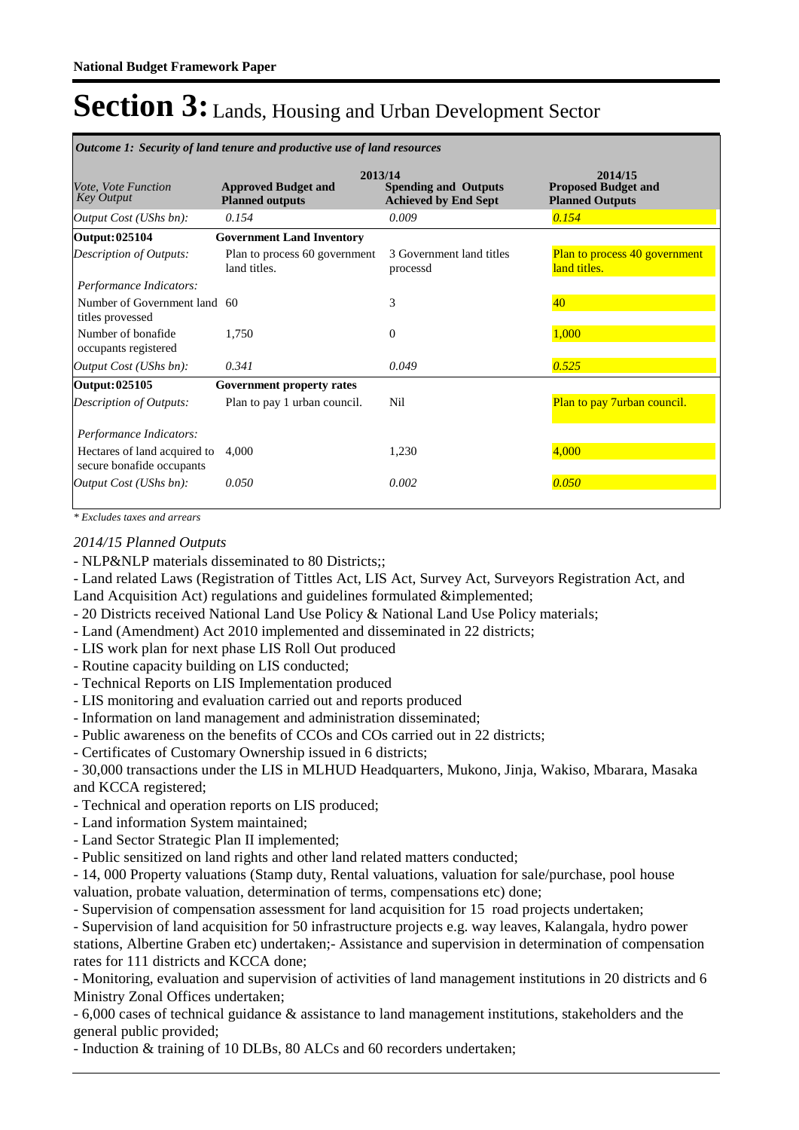| <i>Outcome 1: Security of land tenure and productive use of land resources</i> |                                                      |                                                                       |                                                                 |  |  |
|--------------------------------------------------------------------------------|------------------------------------------------------|-----------------------------------------------------------------------|-----------------------------------------------------------------|--|--|
| <i>Vote, Vote Function</i><br><b>Key Output</b>                                | <b>Approved Budget and</b><br><b>Planned outputs</b> | 2013/14<br><b>Spending and Outputs</b><br><b>Achieved by End Sept</b> | 2014/15<br><b>Proposed Budget and</b><br><b>Planned Outputs</b> |  |  |
| Output Cost (UShs bn):                                                         | 0.154                                                | 0.009                                                                 | 0.154                                                           |  |  |
| Output: 025104                                                                 | <b>Government Land Inventory</b>                     |                                                                       |                                                                 |  |  |
| <b>Description of Outputs:</b>                                                 | Plan to process 60 government<br>land titles.        | 3 Government land titles<br>processd                                  | <b>Plan to process 40 government</b><br>land titles.            |  |  |
| Performance Indicators:                                                        |                                                      |                                                                       |                                                                 |  |  |
| Number of Government land 60<br>titles provessed                               |                                                      | 3                                                                     | 40                                                              |  |  |
| Number of bonafide<br>occupants registered                                     | 1,750                                                | $\Omega$                                                              | 1,000                                                           |  |  |
| Output Cost (UShs bn):                                                         | 0.341                                                | 0.049                                                                 | 0.525                                                           |  |  |
| Output: 025105                                                                 | Government property rates                            |                                                                       |                                                                 |  |  |
| Description of Outputs:                                                        | Plan to pay 1 urban council.                         | Nil                                                                   | Plan to pay 7urban council.                                     |  |  |
| Performance Indicators:                                                        |                                                      |                                                                       |                                                                 |  |  |
| Hectares of land acquired to<br>secure bonafide occupants                      | 4.000                                                | 1,230                                                                 | 4,000                                                           |  |  |
| Output Cost (UShs bn):                                                         | 0.050                                                | 0.002                                                                 | 0.050                                                           |  |  |

*\* Excludes taxes and arrears*

*2014/15 Planned Outputs*

- NLP&NLP materials disseminated to 80 Districts;;

- Land related Laws (Registration of Tittles Act, LIS Act, Survey Act, Surveyors Registration Act, and Land Acquisition Act) regulations and guidelines formulated &implemented;

- 20 Districts received National Land Use Policy & National Land Use Policy materials;
- Land (Amendment) Act 2010 implemented and disseminated in 22 districts;
- LIS work plan for next phase LIS Roll Out produced

- Routine capacity building on LIS conducted;

- Technical Reports on LIS Implementation produced
- LIS monitoring and evaluation carried out and reports produced
- Information on land management and administration disseminated;
- Public awareness on the benefits of CCOs and COs carried out in 22 districts;

- Certificates of Customary Ownership issued in 6 districts;

- 30,000 transactions under the LIS in MLHUD Headquarters, Mukono, Jinja, Wakiso, Mbarara, Masaka and KCCA registered;

- Technical and operation reports on LIS produced;
- Land information System maintained;
- Land Sector Strategic Plan II implemented;
- Public sensitized on land rights and other land related matters conducted;

- 14, 000 Property valuations (Stamp duty, Rental valuations, valuation for sale/purchase, pool house valuation, probate valuation, determination of terms, compensations etc) done;

- Supervision of compensation assessment for land acquisition for 15 road projects undertaken;

- Supervision of land acquisition for 50 infrastructure projects e.g. way leaves, Kalangala, hydro power stations, Albertine Graben etc) undertaken;- Assistance and supervision in determination of compensation rates for 111 districts and KCCA done;

- Monitoring, evaluation and supervision of activities of land management institutions in 20 districts and 6 Ministry Zonal Offices undertaken;

- 6,000 cases of technical guidance & assistance to land management institutions, stakeholders and the general public provided;

- Induction & training of 10 DLBs, 80 ALCs and 60 recorders undertaken;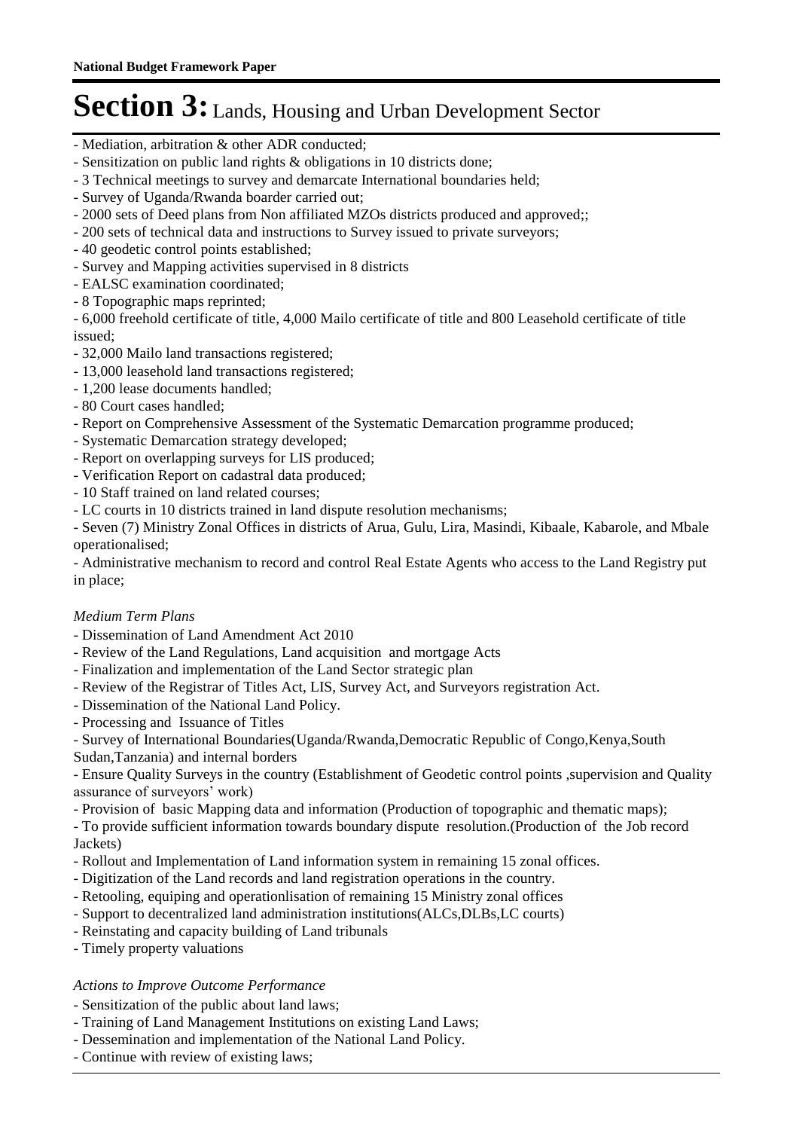- Mediation, arbitration & other ADR conducted;
- Sensitization on public land rights & obligations in 10 districts done;
- 3 Technical meetings to survey and demarcate International boundaries held;
- Survey of Uganda/Rwanda boarder carried out;
- 2000 sets of Deed plans from Non affiliated MZOs districts produced and approved;;
- 200 sets of technical data and instructions to Survey issued to private surveyors;
- 40 geodetic control points established;
- Survey and Mapping activities supervised in 8 districts
- EALSC examination coordinated;
- 8 Topographic maps reprinted;

- 6,000 freehold certificate of title, 4,000 Mailo certificate of title and 800 Leasehold certificate of title issued;

- 32,000 Mailo land transactions registered;
- 13,000 leasehold land transactions registered;
- 1,200 lease documents handled;
- 80 Court cases handled;
- Report on Comprehensive Assessment of the Systematic Demarcation programme produced;
- Systematic Demarcation strategy developed;
- Report on overlapping surveys for LIS produced;
- Verification Report on cadastral data produced;
- 10 Staff trained on land related courses;
- LC courts in 10 districts trained in land dispute resolution mechanisms;

- Seven (7) Ministry Zonal Offices in districts of Arua, Gulu, Lira, Masindi, Kibaale, Kabarole, and Mbale operationalised;

- Administrative mechanism to record and control Real Estate Agents who access to the Land Registry put in place;

## *Medium Term Plans*

- Dissemination of Land Amendment Act 2010
- Review of the Land Regulations, Land acquisition and mortgage Acts
- Finalization and implementation of the Land Sector strategic plan
- Review of the Registrar of Titles Act, LIS, Survey Act, and Surveyors registration Act.
- Dissemination of the National Land Policy.
- Processing and Issuance of Titles
- Survey of International Boundaries(Uganda/Rwanda,Democratic Republic of Congo,Kenya,South
- Sudan,Tanzania) and internal borders
- Ensure Quality Surveys in the country (Establishment of Geodetic control points ,supervision and Quality assurance of surveyors' work)
- Provision of basic Mapping data and information (Production of topographic and thematic maps);
- To provide sufficient information towards boundary dispute resolution.(Production of the Job record Jackets)
- Rollout and Implementation of Land information system in remaining 15 zonal offices.
- Digitization of the Land records and land registration operations in the country.
- Retooling, equiping and operationlisation of remaining 15 Ministry zonal offices
- Support to decentralized land administration institutions(ALCs,DLBs,LC courts)
- Reinstating and capacity building of Land tribunals
- Timely property valuations

## *Actions to Improve Outcome Performance*

- Sensitization of the public about land laws;
- Training of Land Management Institutions on existing Land Laws;
- Dessemination and implementation of the National Land Policy.
- Continue with review of existing laws;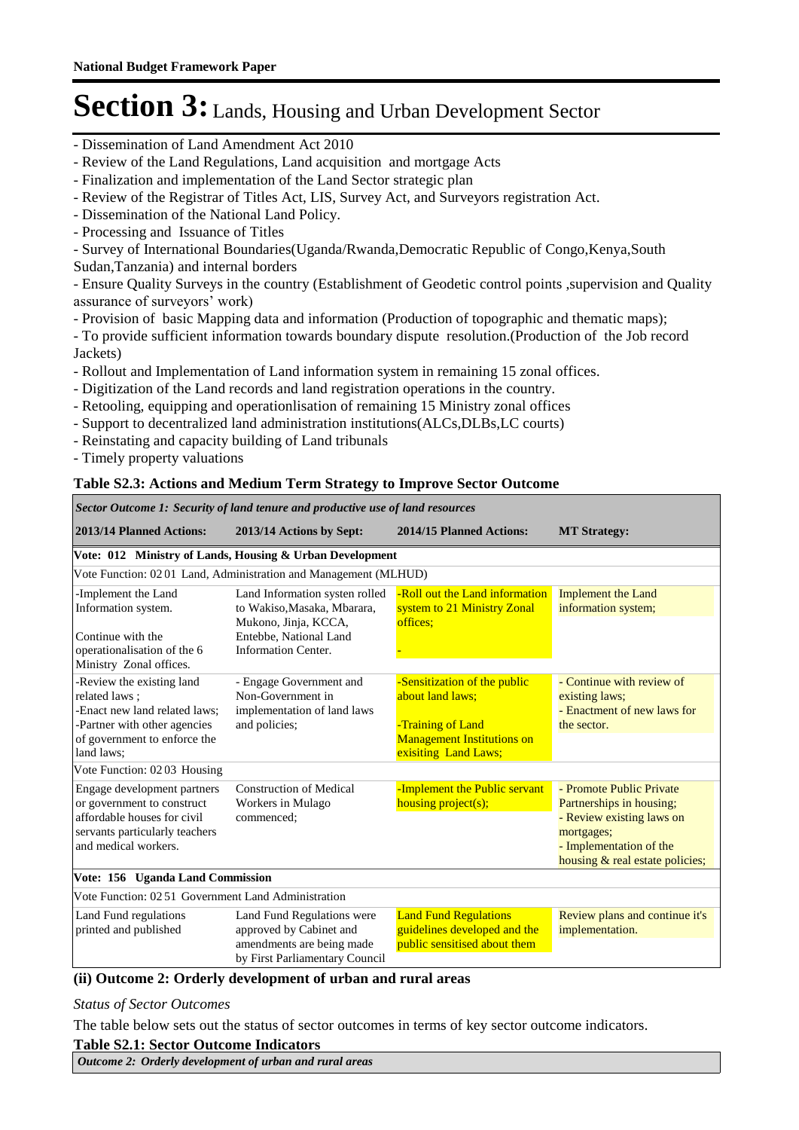- Dissemination of Land Amendment Act 2010
- Review of the Land Regulations, Land acquisition and mortgage Acts
- Finalization and implementation of the Land Sector strategic plan
- Review of the Registrar of Titles Act, LIS, Survey Act, and Surveyors registration Act.
- Dissemination of the National Land Policy.
- Processing and Issuance of Titles

- Survey of International Boundaries(Uganda/Rwanda,Democratic Republic of Congo,Kenya,South Sudan,Tanzania) and internal borders

- Ensure Quality Surveys in the country (Establishment of Geodetic control points ,supervision and Quality assurance of surveyors' work)

- Provision of basic Mapping data and information (Production of topographic and thematic maps);
- To provide sufficient information towards boundary dispute resolution.(Production of the Job record Jackets)
- Rollout and Implementation of Land information system in remaining 15 zonal offices.
- Digitization of the Land records and land registration operations in the country.
- Retooling, equipping and operationlisation of remaining 15 Ministry zonal offices
- Support to decentralized land administration institutions(ALCs,DLBs,LC courts)
- Reinstating and capacity building of Land tribunals
- Timely property valuations

## **Table S2.3: Actions and Medium Term Strategy to Improve Sector Outcome**

| Sector Outcome 1: Security of land tenure and productive use of land resources                                                                            |                                                                                                                      |                                                                                                                                    |                                                                                                                                                               |  |  |
|-----------------------------------------------------------------------------------------------------------------------------------------------------------|----------------------------------------------------------------------------------------------------------------------|------------------------------------------------------------------------------------------------------------------------------------|---------------------------------------------------------------------------------------------------------------------------------------------------------------|--|--|
| 2013/14 Planned Actions:                                                                                                                                  | 2013/14 Actions by Sept:                                                                                             | 2014/15 Planned Actions:                                                                                                           | <b>MT Strategy:</b>                                                                                                                                           |  |  |
|                                                                                                                                                           | Vote: 012 Ministry of Lands, Housing & Urban Development                                                             |                                                                                                                                    |                                                                                                                                                               |  |  |
|                                                                                                                                                           | Vote Function: 0201 Land, Administration and Management (MLHUD)                                                      |                                                                                                                                    |                                                                                                                                                               |  |  |
| -Implement the Land<br>Information system.<br>Continue with the                                                                                           | Land Information systen rolled<br>to Wakiso, Masaka, Mbarara,<br>Mukono, Jinja, KCCA,<br>Entebbe, National Land      | -Roll out the Land information<br>system to 21 Ministry Zonal<br>offices:                                                          | <b>Implement the Land</b><br>information system;                                                                                                              |  |  |
| operationalisation of the 6<br>Ministry Zonal offices.                                                                                                    | <b>Information Center.</b>                                                                                           |                                                                                                                                    |                                                                                                                                                               |  |  |
| -Review the existing land<br>related laws:<br>-Enact new land related laws;<br>-Partner with other agencies<br>of government to enforce the<br>land laws; | - Engage Government and<br>Non-Government in<br>implementation of land laws<br>and policies;                         | -Sensitization of the public<br>about land laws:<br>-Training of Land<br><b>Management Institutions on</b><br>exisiting Land Laws; | - Continue with review of<br>existing laws;<br>- Enactment of new laws for<br>the sector.                                                                     |  |  |
| Vote Function: 0203 Housing                                                                                                                               |                                                                                                                      |                                                                                                                                    |                                                                                                                                                               |  |  |
| Engage development partners<br>or government to construct<br>affordable houses for civil<br>servants particularly teachers<br>and medical workers.        | <b>Construction of Medical</b><br>Workers in Mulago<br>commenced;                                                    | -Implement the Public servant<br>housing $project(s);$                                                                             | - Promote Public Private<br>Partnerships in housing;<br>- Review existing laws on<br>mortgages;<br>- Implementation of the<br>housing & real estate policies; |  |  |
| Vote: 156 Uganda Land Commission                                                                                                                          |                                                                                                                      |                                                                                                                                    |                                                                                                                                                               |  |  |
| Vote Function: 02 51 Government Land Administration                                                                                                       |                                                                                                                      |                                                                                                                                    |                                                                                                                                                               |  |  |
| Land Fund regulations<br>printed and published                                                                                                            | Land Fund Regulations were<br>approved by Cabinet and<br>amendments are being made<br>by First Parliamentary Council | <b>Land Fund Regulations</b><br>guidelines developed and the<br>public sensitised about them                                       | Review plans and continue it's<br>implementation.                                                                                                             |  |  |

## **(ii) Outcome 2: Orderly development of urban and rural areas**

#### *Status of Sector Outcomes*

The table below sets out the status of sector outcomes in terms of key sector outcome indicators.

#### **Table S2.1: Sector Outcome Indicators**

*Outcome 2: Orderly development of urban and rural areas*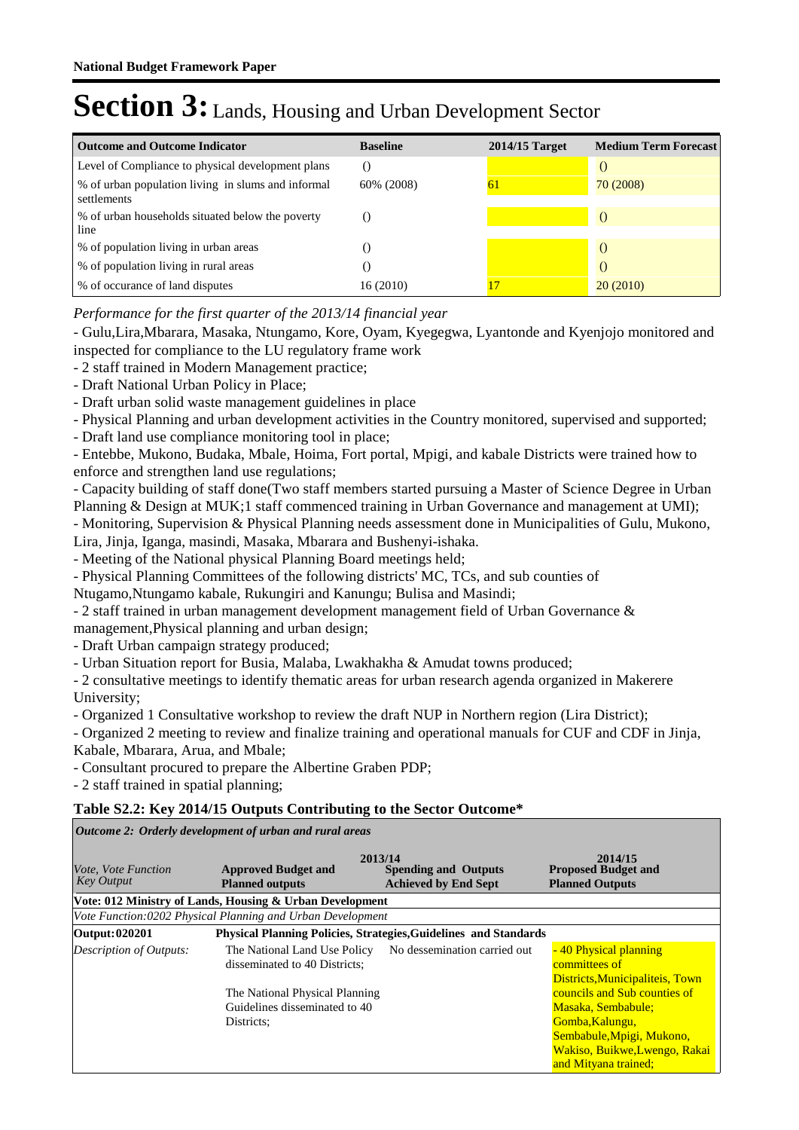| <b>Outcome and Outcome Indicator</b>                              | <b>Baseline</b> | $2014/15$ Target | <b>Medium Term Forecast</b> |
|-------------------------------------------------------------------|-----------------|------------------|-----------------------------|
| Level of Compliance to physical development plans                 |                 |                  |                             |
| % of urban population living in slums and informal<br>settlements | 60% (2008)      | 61               | 70 (2008)                   |
| % of urban households situated below the poverty<br>line          |                 |                  |                             |
| % of population living in urban areas                             |                 |                  |                             |
| % of population living in rural areas                             |                 |                  |                             |
| % of occurance of land disputes                                   | 16 (2010)       |                  | 20(2010)                    |

*Performance for the first quarter of the 2013/14 financial year*

- Gulu,Lira,Mbarara, Masaka, Ntungamo, Kore, Oyam, Kyegegwa, Lyantonde and Kyenjojo monitored and inspected for compliance to the LU regulatory frame work

- 2 staff trained in Modern Management practice;
- Draft National Urban Policy in Place;
- Draft urban solid waste management guidelines in place
- Physical Planning and urban development activities in the Country monitored, supervised and supported;
- Draft land use compliance monitoring tool in place;

- Entebbe, Mukono, Budaka, Mbale, Hoima, Fort portal, Mpigi, and kabale Districts were trained how to enforce and strengthen land use regulations;

- Capacity building of staff done(Two staff members started pursuing a Master of Science Degree in Urban Planning & Design at MUK;1 staff commenced training in Urban Governance and management at UMI);

- Monitoring, Supervision & Physical Planning needs assessment done in Municipalities of Gulu, Mukono,

Lira, Jinja, Iganga, masindi, Masaka, Mbarara and Bushenyi-ishaka.

- Meeting of the National physical Planning Board meetings held;

- Physical Planning Committees of the following districts' MC, TCs, and sub counties of

Ntugamo,Ntungamo kabale, Rukungiri and Kanungu; Bulisa and Masindi;

- 2 staff trained in urban management development management field of Urban Governance &

management,Physical planning and urban design;

- Draft Urban campaign strategy produced;

- Urban Situation report for Busia, Malaba, Lwakhakha & Amudat towns produced;

- 2 consultative meetings to identify thematic areas for urban research agenda organized in Makerere University;

- Organized 1 Consultative workshop to review the draft NUP in Northern region (Lira District);

- Organized 2 meeting to review and finalize training and operational manuals for CUF and CDF in Jinja, Kabale, Mbarara, Arua, and Mbale;

- Consultant procured to prepare the Albertine Graben PDP;

- 2 staff trained in spatial planning;

## **Table S2.2: Key 2014/15 Outputs Contributing to the Sector Outcome\***

*Outcome 2: Orderly development of urban and rural areas*

| Vote, Vote Function<br><b>Key Output</b> | <b>Approved Budget and</b><br><b>Planned outputs</b>                          | 2013/14<br><b>Spending and Outputs</b><br><b>Achieved by End Sept</b> | 2014/15<br><b>Proposed Budget and</b><br><b>Planned Outputs</b>                                                                                             |
|------------------------------------------|-------------------------------------------------------------------------------|-----------------------------------------------------------------------|-------------------------------------------------------------------------------------------------------------------------------------------------------------|
|                                          | Vote: 012 Ministry of Lands, Housing & Urban Development                      |                                                                       |                                                                                                                                                             |
|                                          | Vote Function:0202 Physical Planning and Urban Development                    |                                                                       |                                                                                                                                                             |
| Output: 020201                           | Physical Planning Policies, Strategies, Guidelines and Standards              |                                                                       |                                                                                                                                                             |
| Description of Outputs:                  | The National Land Use Policy<br>disseminated to 40 Districts:                 | No dessemination carried out                                          | - 40 Physical planning<br>committees of<br>Districts, Municipaliteis, Town                                                                                  |
|                                          | The National Physical Planning<br>Guidelines disseminated to 40<br>Districts: |                                                                       | councils and Sub counties of<br>Masaka, Sembabule;<br>Gomba, Kalungu,<br>Sembabule, Mpigi, Mukono,<br>Wakiso, Buikwe, Lwengo, Rakai<br>and Mityana trained; |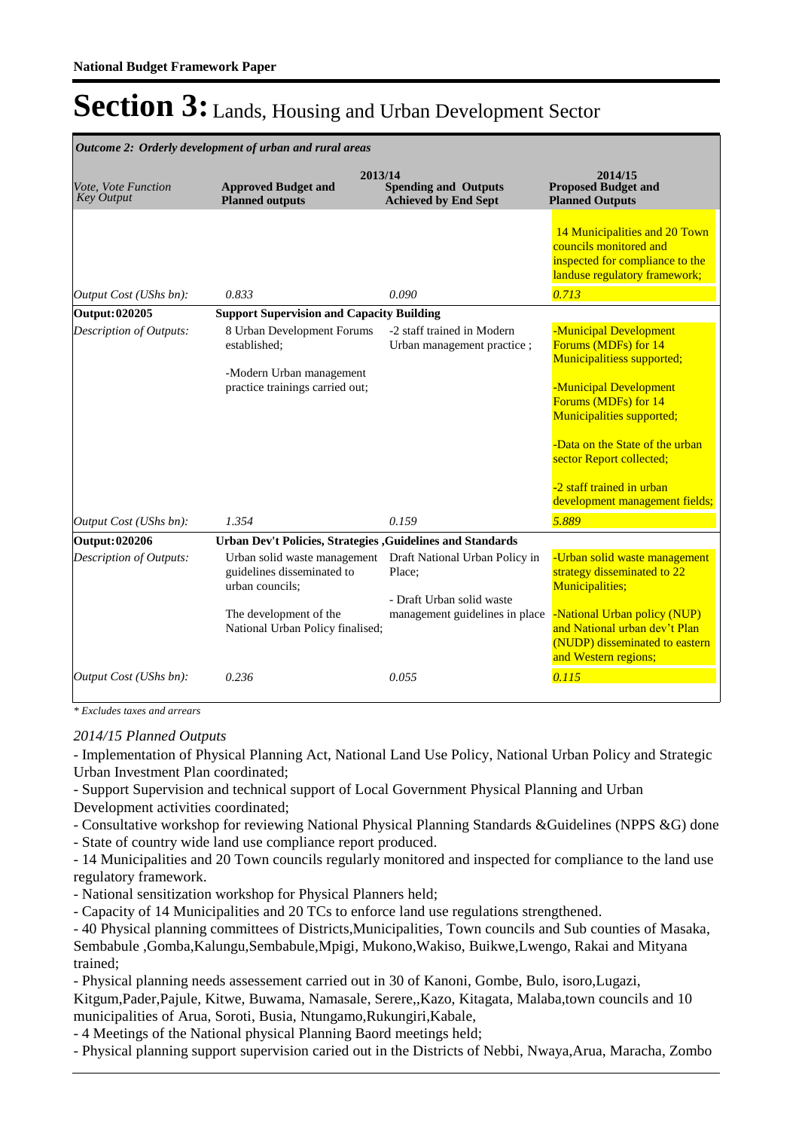| Outcome 2: Orderly development of urban and rural areas |                                                                                                                                             |                                                                                                         |                                                                                                                                                                                                                                                                                           |  |  |
|---------------------------------------------------------|---------------------------------------------------------------------------------------------------------------------------------------------|---------------------------------------------------------------------------------------------------------|-------------------------------------------------------------------------------------------------------------------------------------------------------------------------------------------------------------------------------------------------------------------------------------------|--|--|
| Vote, Vote Function<br><b>Key Output</b>                | <b>Approved Budget and</b><br><b>Planned outputs</b>                                                                                        | 2013/14<br><b>Spending and Outputs</b><br><b>Achieved by End Sept</b>                                   | 2014/15<br><b>Proposed Budget and</b><br><b>Planned Outputs</b>                                                                                                                                                                                                                           |  |  |
|                                                         |                                                                                                                                             |                                                                                                         | 14 Municipalities and 20 Town<br>councils monitored and<br>inspected for compliance to the<br>landuse regulatory framework;                                                                                                                                                               |  |  |
| Output Cost (UShs bn):                                  | 0.833                                                                                                                                       | 0.090                                                                                                   | 0.713                                                                                                                                                                                                                                                                                     |  |  |
| Output: 020205                                          | <b>Support Supervision and Capacity Building</b>                                                                                            |                                                                                                         |                                                                                                                                                                                                                                                                                           |  |  |
| Description of Outputs:                                 | 8 Urban Development Forums<br>established:<br>-Modern Urban management<br>practice trainings carried out;                                   | -2 staff trained in Modern<br>Urban management practice;                                                | -Municipal Development<br>Forums (MDFs) for 14<br>Municipalitiess supported;<br>-Municipal Development<br>Forums (MDFs) for 14<br>Municipalities supported;<br>-Data on the State of the urban<br>sector Report collected;<br>-2 staff trained in urban<br>development management fields; |  |  |
| Output Cost (UShs bn):                                  | 1.354                                                                                                                                       | 0.159                                                                                                   | 5.889                                                                                                                                                                                                                                                                                     |  |  |
| Output: 020206                                          | Urban Dev't Policies, Strategies , Guidelines and Standards                                                                                 |                                                                                                         |                                                                                                                                                                                                                                                                                           |  |  |
| <b>Description of Outputs:</b>                          | Urban solid waste management<br>guidelines disseminated to<br>urban councils:<br>The development of the<br>National Urban Policy finalised; | Draft National Urban Policy in<br>Place:<br>- Draft Urban solid waste<br>management guidelines in place | -Urban solid waste management<br>strategy disseminated to 22<br><b>Municipalities;</b><br>-National Urban policy (NUP)<br>and National urban dev't Plan<br>(NUDP) disseminated to eastern<br>and Western regions;                                                                         |  |  |
| Output Cost (UShs bn):                                  | 0.236                                                                                                                                       | 0.055                                                                                                   | 0.115                                                                                                                                                                                                                                                                                     |  |  |

*\* Excludes taxes and arrears*

*2014/15 Planned Outputs*

- Implementation of Physical Planning Act, National Land Use Policy, National Urban Policy and Strategic Urban Investment Plan coordinated;

- Support Supervision and technical support of Local Government Physical Planning and Urban Development activities coordinated;

- Consultative workshop for reviewing National Physical Planning Standards &Guidelines (NPPS &G) done

- State of country wide land use compliance report produced.

- 14 Municipalities and 20 Town councils regularly monitored and inspected for compliance to the land use regulatory framework.

- National sensitization workshop for Physical Planners held;

- Capacity of 14 Municipalities and 20 TCs to enforce land use regulations strengthened.

- 40 Physical planning committees of Districts,Municipalities, Town councils and Sub counties of Masaka, Sembabule ,Gomba,Kalungu,Sembabule,Mpigi, Mukono,Wakiso, Buikwe,Lwengo, Rakai and Mityana trained;

- Physical planning needs assessement carried out in 30 of Kanoni, Gombe, Bulo, isoro,Lugazi,

Kitgum,Pader,Pajule, Kitwe, Buwama, Namasale, Serere,,Kazo, Kitagata, Malaba,town councils and 10 municipalities of Arua, Soroti, Busia, Ntungamo,Rukungiri,Kabale,

- 4 Meetings of the National physical Planning Baord meetings held;

- Physical planning support supervision caried out in the Districts of Nebbi, Nwaya,Arua, Maracha, Zombo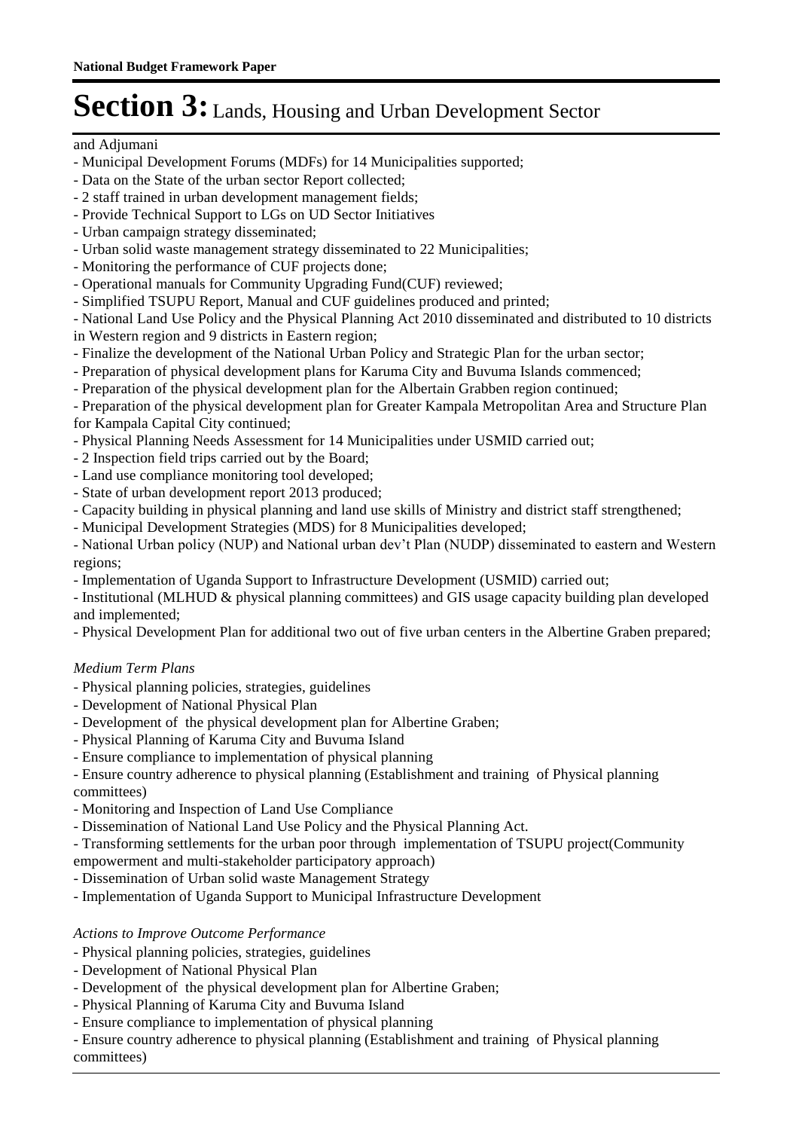#### and Adjumani

- Municipal Development Forums (MDFs) for 14 Municipalities supported;
- Data on the State of the urban sector Report collected;
- 2 staff trained in urban development management fields;
- Provide Technical Support to LGs on UD Sector Initiatives
- Urban campaign strategy disseminated;
- Urban solid waste management strategy disseminated to 22 Municipalities;
- Monitoring the performance of CUF projects done;
- Operational manuals for Community Upgrading Fund(CUF) reviewed;
- Simplified TSUPU Report, Manual and CUF guidelines produced and printed;

- National Land Use Policy and the Physical Planning Act 2010 disseminated and distributed to 10 districts in Western region and 9 districts in Eastern region;

- Finalize the development of the National Urban Policy and Strategic Plan for the urban sector;
- Preparation of physical development plans for Karuma City and Buvuma Islands commenced;
- Preparation of the physical development plan for the Albertain Grabben region continued;

- Preparation of the physical development plan for Greater Kampala Metropolitan Area and Structure Plan for Kampala Capital City continued;

- Physical Planning Needs Assessment for 14 Municipalities under USMID carried out;
- 2 Inspection field trips carried out by the Board;
- Land use compliance monitoring tool developed;
- State of urban development report 2013 produced;
- Capacity building in physical planning and land use skills of Ministry and district staff strengthened;
- Municipal Development Strategies (MDS) for 8 Municipalities developed;

- National Urban policy (NUP) and National urban dev't Plan (NUDP) disseminated to eastern and Western regions;

- Implementation of Uganda Support to Infrastructure Development (USMID) carried out;
- Institutional (MLHUD & physical planning committees) and GIS usage capacity building plan developed and implemented;
- Physical Development Plan for additional two out of five urban centers in the Albertine Graben prepared;

# *Medium Term Plans*

- Physical planning policies, strategies, guidelines
- Development of National Physical Plan
- Development of the physical development plan for Albertine Graben;
- Physical Planning of Karuma City and Buvuma Island
- Ensure compliance to implementation of physical planning

- Ensure country adherence to physical planning (Establishment and training of Physical planning committees)

- Monitoring and Inspection of Land Use Compliance
- Dissemination of National Land Use Policy and the Physical Planning Act.

- Transforming settlements for the urban poor through implementation of TSUPU project(Community empowerment and multi-stakeholder participatory approach)

- Dissemination of Urban solid waste Management Strategy
- Implementation of Uganda Support to Municipal Infrastructure Development

## *Actions to Improve Outcome Performance*

- Physical planning policies, strategies, guidelines
- Development of National Physical Plan
- Development of the physical development plan for Albertine Graben;
- Physical Planning of Karuma City and Buvuma Island
- Ensure compliance to implementation of physical planning

- Ensure country adherence to physical planning (Establishment and training of Physical planning committees)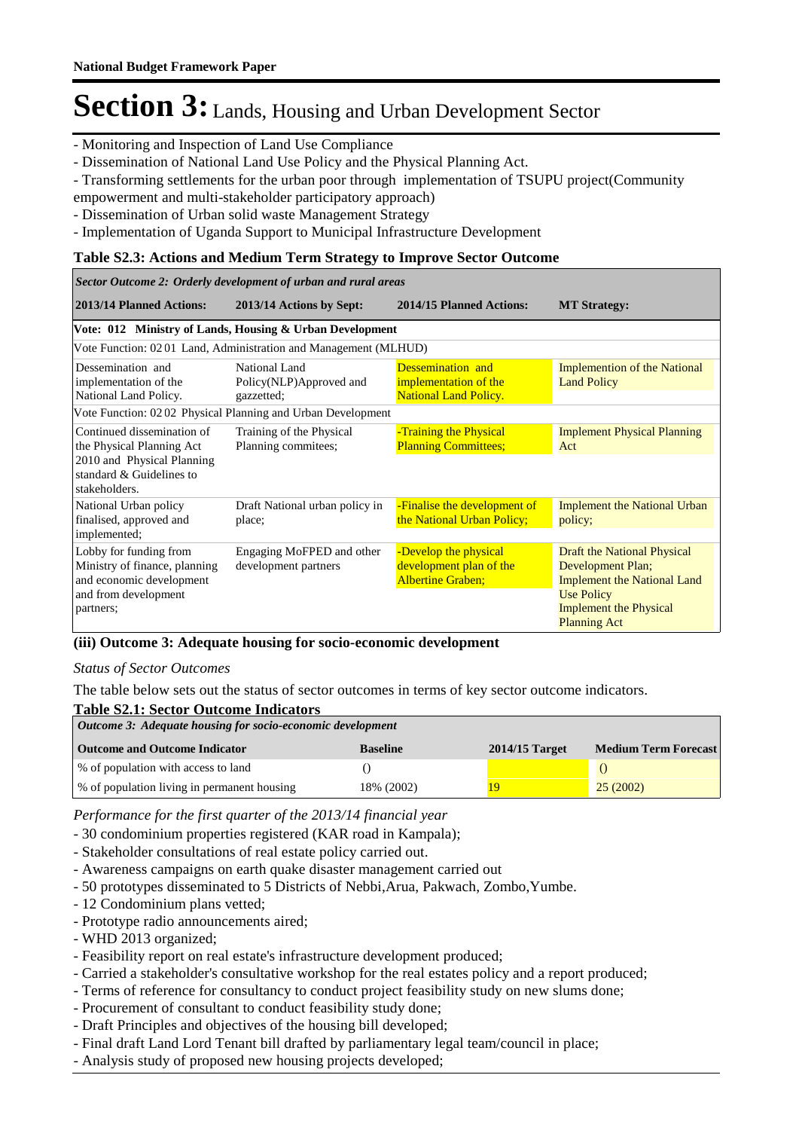- Monitoring and Inspection of Land Use Compliance

- Dissemination of National Land Use Policy and the Physical Planning Act.
- Transforming settlements for the urban poor through implementation of TSUPU project(Community

empowerment and multi-stakeholder participatory approach)

- Dissemination of Urban solid waste Management Strategy
- Implementation of Uganda Support to Municipal Infrastructure Development

#### **Table S2.3: Actions and Medium Term Strategy to Improve Sector Outcome**

| Sector Outcome 2: Orderly development of urban and rural areas                                                           |                                                                 |                                                                              |                                                                                                                                                                            |  |  |
|--------------------------------------------------------------------------------------------------------------------------|-----------------------------------------------------------------|------------------------------------------------------------------------------|----------------------------------------------------------------------------------------------------------------------------------------------------------------------------|--|--|
| 2013/14 Planned Actions:                                                                                                 | 2013/14 Actions by Sept:                                        | 2014/15 Planned Actions:                                                     | <b>MT Strategy:</b>                                                                                                                                                        |  |  |
|                                                                                                                          | Vote: 012 Ministry of Lands, Housing & Urban Development        |                                                                              |                                                                                                                                                                            |  |  |
|                                                                                                                          | Vote Function: 0201 Land, Administration and Management (MLHUD) |                                                                              |                                                                                                                                                                            |  |  |
| Dessemination and<br>implementation of the<br>National Land Policy.                                                      | National Land<br>Policy(NLP)Approved and<br>gazzetted;          | Dessemination and<br>implementation of the<br><b>National Land Policy.</b>   | <b>Implemention of the National</b><br><b>Land Policy</b>                                                                                                                  |  |  |
|                                                                                                                          | Vote Function: 0202 Physical Planning and Urban Development     |                                                                              |                                                                                                                                                                            |  |  |
| Continued dissemination of<br>the Physical Planning Act<br>2010 and Physical Planning                                    | Training of the Physical<br>Planning commitees;                 | -Training the Physical<br><b>Planning Committees;</b>                        | <b>Implement Physical Planning</b><br>Act                                                                                                                                  |  |  |
| standard & Guidelines to<br>stakeholders.                                                                                |                                                                 |                                                                              |                                                                                                                                                                            |  |  |
| National Urban policy<br>finalised, approved and<br>implemented;                                                         | Draft National urban policy in<br>place;                        | -Finalise the development of<br>the National Urban Policy;                   | <b>Implement the National Urban</b><br>policy;                                                                                                                             |  |  |
| Lobby for funding from<br>Ministry of finance, planning<br>and economic development<br>and from development<br>partners; | Engaging MoFPED and other<br>development partners               | -Develop the physical<br>development plan of the<br><b>Albertine Graben;</b> | <b>Draft the National Physical</b><br>Development Plan;<br><b>Implement the National Land</b><br><b>Use Policy</b><br><b>Implement the Physical</b><br><b>Planning Act</b> |  |  |

#### **(iii) Outcome 3: Adequate housing for socio-economic development**

#### *Status of Sector Outcomes*

The table below sets out the status of sector outcomes in terms of key sector outcome indicators.

## **Table S2.1: Sector Outcome Indicators**

| Outcome 3: Adequate housing for socio-economic development |                 |                  |                             |  |  |  |
|------------------------------------------------------------|-----------------|------------------|-----------------------------|--|--|--|
| <b>Outcome and Outcome Indicator</b>                       | <b>Baseline</b> | $2014/15$ Target | <b>Medium Term Forecast</b> |  |  |  |
| % of population with access to land                        |                 |                  |                             |  |  |  |
| % of population living in permanent housing                | 18% (2002)      | 19               | 25(2002)                    |  |  |  |

*Performance for the first quarter of the 2013/14 financial year*

- 30 condominium properties registered (KAR road in Kampala);
- Stakeholder consultations of real estate policy carried out.
- Awareness campaigns on earth quake disaster management carried out
- 50 prototypes disseminated to 5 Districts of Nebbi,Arua, Pakwach, Zombo,Yumbe.
- 12 Condominium plans vetted;
- Prototype radio announcements aired;
- WHD 2013 organized;
- Feasibility report on real estate's infrastructure development produced;
- Carried a stakeholder's consultative workshop for the real estates policy and a report produced;
- Terms of reference for consultancy to conduct project feasibility study on new slums done;
- Procurement of consultant to conduct feasibility study done;
- Draft Principles and objectives of the housing bill developed;
- Final draft Land Lord Tenant bill drafted by parliamentary legal team/council in place;
- Analysis study of proposed new housing projects developed;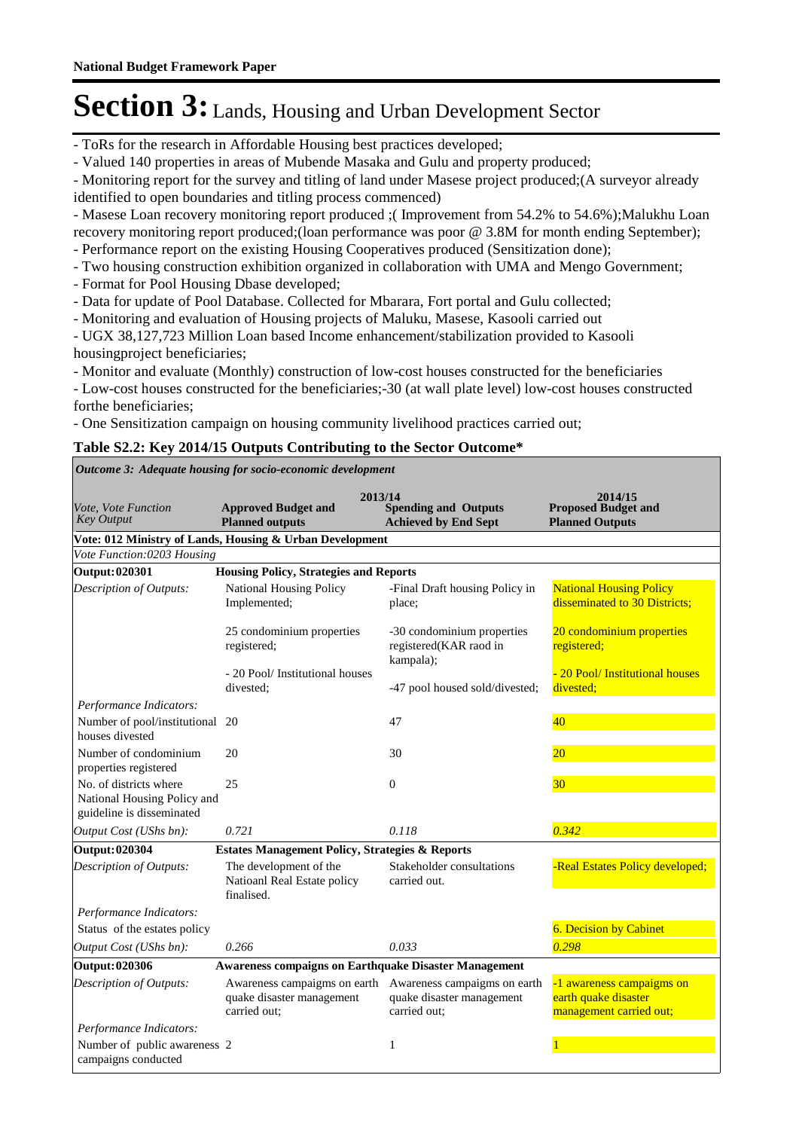- ToRs for the research in Affordable Housing best practices developed;

- Valued 140 properties in areas of Mubende Masaka and Gulu and property produced;

- Monitoring report for the survey and titling of land under Masese project produced;(A surveyor already identified to open boundaries and titling process commenced)

- Masese Loan recovery monitoring report produced ;(Improvement from 54.2% to 54.6%);Malukhu Loan recovery monitoring report produced;(loan performance was poor @ 3.8M for month ending September);

- Performance report on the existing Housing Cooperatives produced (Sensitization done);

- Two housing construction exhibition organized in collaboration with UMA and Mengo Government;
- Format for Pool Housing Dbase developed;
- Data for update of Pool Database. Collected for Mbarara, Fort portal and Gulu collected;
- Monitoring and evaluation of Housing projects of Maluku, Masese, Kasooli carried out

- UGX 38,127,723 Million Loan based Income enhancement/stabilization provided to Kasooli housingproject beneficiaries;

- Monitor and evaluate (Monthly) construction of low-cost houses constructed for the beneficiaries

- Low-cost houses constructed for the beneficiaries;-30 (at wall plate level) low-cost houses constructed forthe beneficiaries;

- One Sensitization campaign on housing community livelihood practices carried out;

### **Table S2.2: Key 2014/15 Outputs Contributing to the Sector Outcome\***

*Outcome 3: Adequate housing for socio-economic development*

|                                                                                    | 2013/14                                                                   |                                                                           | 2014/15                                                                      |
|------------------------------------------------------------------------------------|---------------------------------------------------------------------------|---------------------------------------------------------------------------|------------------------------------------------------------------------------|
| Vote, Vote Function<br><b>Key Output</b>                                           | <b>Approved Budget and</b><br><b>Planned outputs</b>                      | <b>Spending and Outputs</b><br><b>Achieved by End Sept</b>                | <b>Proposed Budget and</b><br><b>Planned Outputs</b>                         |
|                                                                                    | Vote: 012 Ministry of Lands, Housing & Urban Development                  |                                                                           |                                                                              |
| Vote Function:0203 Housing                                                         |                                                                           |                                                                           |                                                                              |
| Output: 020301                                                                     | <b>Housing Policy, Strategies and Reports</b>                             |                                                                           |                                                                              |
| Description of Outputs:                                                            | <b>National Housing Policy</b><br>Implemented;                            | -Final Draft housing Policy in<br>place;                                  | <b>National Housing Policy</b><br>disseminated to 30 Districts:              |
|                                                                                    | 25 condominium properties<br>registered;                                  | -30 condominium properties<br>registered(KAR raod in<br>kampala);         | 20 condominium properties<br>registered;                                     |
|                                                                                    | - 20 Pool/ Institutional houses<br>divested:                              | -47 pool housed sold/divested;                                            | - 20 Pool/ Institutional houses<br>divested;                                 |
| Performance Indicators:                                                            |                                                                           |                                                                           |                                                                              |
| Number of pool/institutional<br>houses divested                                    | 20                                                                        | 47                                                                        | 40                                                                           |
| Number of condominium<br>properties registered                                     | 20                                                                        | 30                                                                        | 20                                                                           |
| No. of districts where<br>National Housing Policy and<br>guideline is disseminated | 25                                                                        | $\Omega$                                                                  | 30 <sup>°</sup>                                                              |
| Output Cost (UShs bn):                                                             | 0.721                                                                     | 0.118                                                                     | 0.342                                                                        |
| <b>Output: 020304</b>                                                              | <b>Estates Management Policy, Strategies &amp; Reports</b>                |                                                                           |                                                                              |
| Description of Outputs:                                                            | The development of the<br>Natioanl Real Estate policy<br>finalised.       | Stakeholder consultations<br>carried out.                                 | -Real Estates Policy developed;                                              |
| Performance Indicators:                                                            |                                                                           |                                                                           |                                                                              |
| Status of the estates policy                                                       |                                                                           |                                                                           | <b>6. Decision by Cabinet</b>                                                |
| Output Cost (UShs bn):                                                             | 0.266                                                                     | 0.033                                                                     | 0.298                                                                        |
| Output: 020306                                                                     | <b>Awareness compaigns on Earthquake Disaster Management</b>              |                                                                           |                                                                              |
| <b>Description of Outputs:</b>                                                     | Awareness campaigms on earth<br>quake disaster management<br>carried out: | Awareness campaigms on earth<br>quake disaster management<br>carried out; | -1 awareness campaigms on<br>earth quake disaster<br>management carried out; |
| Performance Indicators:                                                            |                                                                           |                                                                           |                                                                              |
| Number of public awareness 2<br>campaigns conducted                                |                                                                           | 1                                                                         |                                                                              |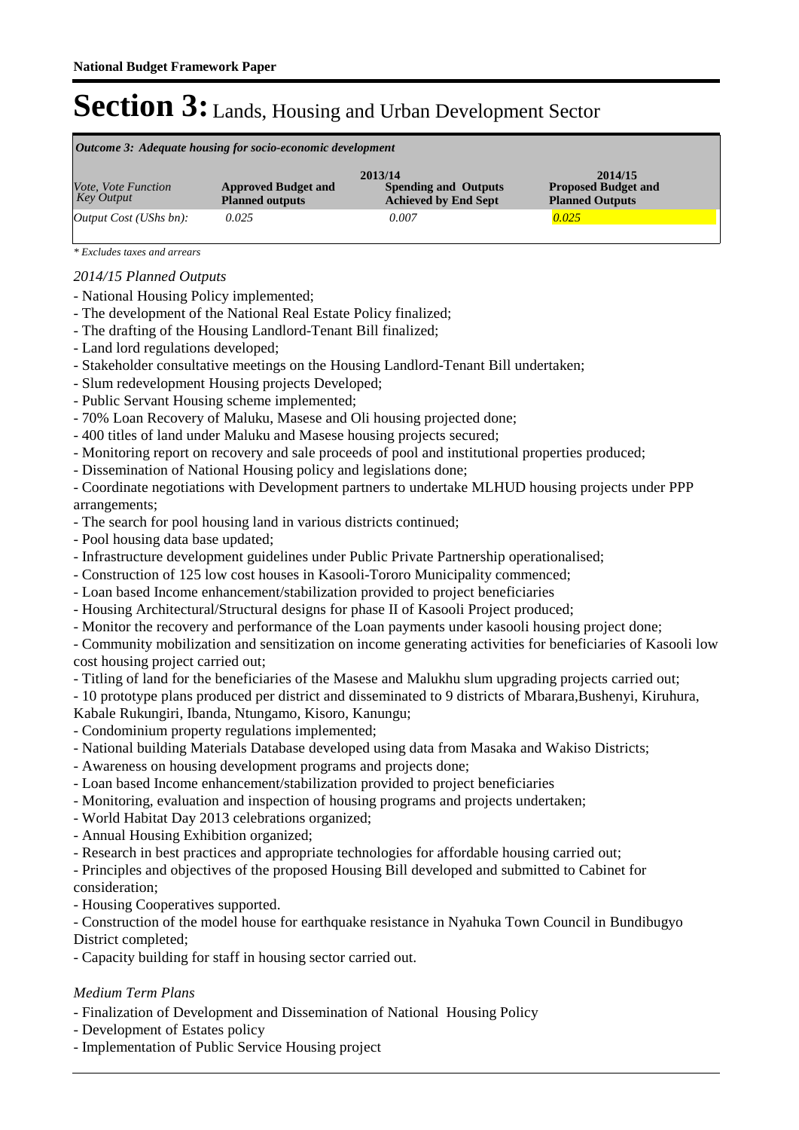| Outcome 3: Adequate housing for socio-economic development |                                                      |                                                                       |                                                                 |  |  |  |  |
|------------------------------------------------------------|------------------------------------------------------|-----------------------------------------------------------------------|-----------------------------------------------------------------|--|--|--|--|
| Vote, Vote Function<br><b>Key Output</b>                   | <b>Approved Budget and</b><br><b>Planned outputs</b> | 2013/14<br><b>Spending and Outputs</b><br><b>Achieved by End Sept</b> | 2014/15<br><b>Proposed Budget and</b><br><b>Planned Outputs</b> |  |  |  |  |
| [Output Cost (UShs bn):                                    | 0.025                                                | 0.007                                                                 | 0.025                                                           |  |  |  |  |

*\* Excludes taxes and arrears*

### *2014/15 Planned Outputs*

- National Housing Policy implemented;
- The development of the National Real Estate Policy finalized;
- The drafting of the Housing Landlord-Tenant Bill finalized;
- Land lord regulations developed;
- Stakeholder consultative meetings on the Housing Landlord-Tenant Bill undertaken;
- Slum redevelopment Housing projects Developed;
- Public Servant Housing scheme implemented;
- 70% Loan Recovery of Maluku, Masese and Oli housing projected done;
- 400 titles of land under Maluku and Masese housing projects secured;
- Monitoring report on recovery and sale proceeds of pool and institutional properties produced;
- Dissemination of National Housing policy and legislations done;

- Coordinate negotiations with Development partners to undertake MLHUD housing projects under PPP arrangements;

- The search for pool housing land in various districts continued;
- Pool housing data base updated;
- Infrastructure development guidelines under Public Private Partnership operationalised;
- Construction of 125 low cost houses in Kasooli-Tororo Municipality commenced;
- Loan based Income enhancement/stabilization provided to project beneficiaries
- Housing Architectural/Structural designs for phase II of Kasooli Project produced;
- Monitor the recovery and performance of the Loan payments under kasooli housing project done;
- Community mobilization and sensitization on income generating activities for beneficiaries of Kasooli low cost housing project carried out;
- Titling of land for the beneficiaries of the Masese and Malukhu slum upgrading projects carried out;
- 10 prototype plans produced per district and disseminated to 9 districts of Mbarara,Bushenyi, Kiruhura,

Kabale Rukungiri, Ibanda, Ntungamo, Kisoro, Kanungu;

- Condominium property regulations implemented;
- National building Materials Database developed using data from Masaka and Wakiso Districts;
- Awareness on housing development programs and projects done;
- Loan based Income enhancement/stabilization provided to project beneficiaries
- Monitoring, evaluation and inspection of housing programs and projects undertaken;
- World Habitat Day 2013 celebrations organized;
- Annual Housing Exhibition organized;
- Research in best practices and appropriate technologies for affordable housing carried out;
- Principles and objectives of the proposed Housing Bill developed and submitted to Cabinet for consideration;
- Housing Cooperatives supported.
- Construction of the model house for earthquake resistance in Nyahuka Town Council in Bundibugyo District completed;
- Capacity building for staff in housing sector carried out.

## *Medium Term Plans*

- Finalization of Development and Dissemination of National Housing Policy
- Development of Estates policy
- Implementation of Public Service Housing project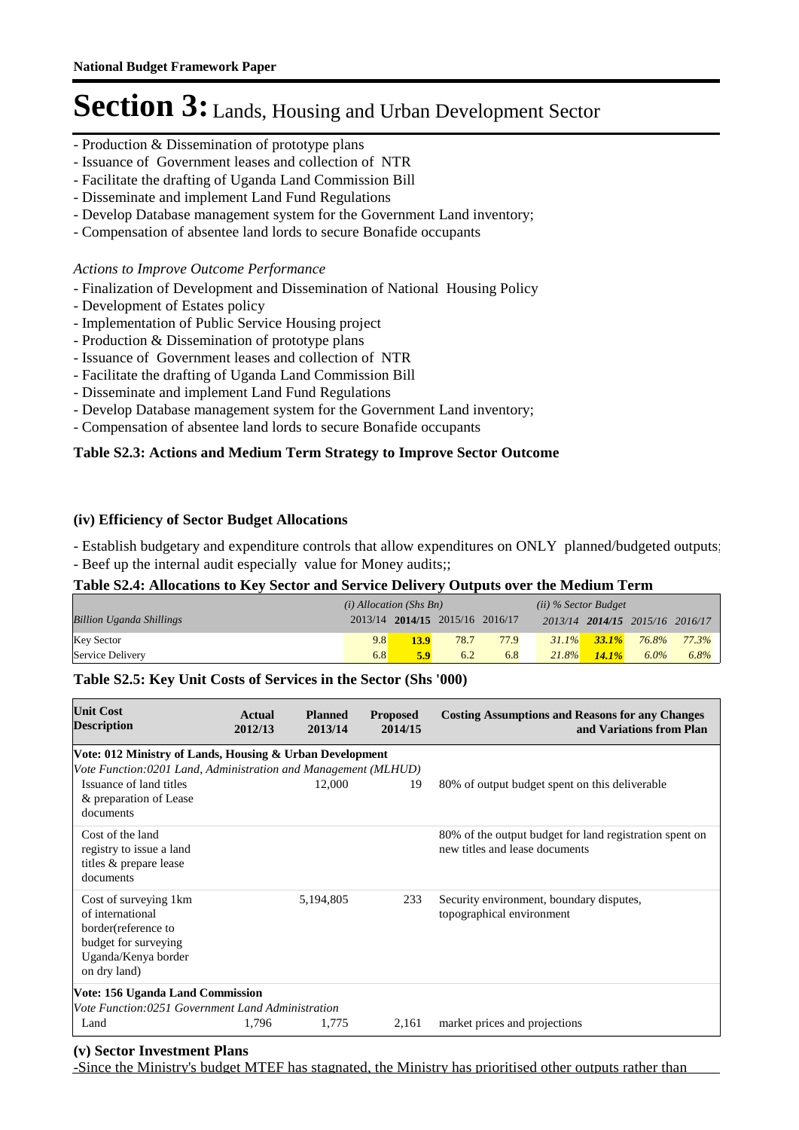- Production & Dissemination of prototype plans
- Issuance of Government leases and collection of NTR
- Facilitate the drafting of Uganda Land Commission Bill
- Disseminate and implement Land Fund Regulations
- Develop Database management system for the Government Land inventory;
- Compensation of absentee land lords to secure Bonafide occupants

#### *Actions to Improve Outcome Performance*

- Finalization of Development and Dissemination of National Housing Policy
- Development of Estates policy
- Implementation of Public Service Housing project
- Production & Dissemination of prototype plans
- Issuance of Government leases and collection of NTR
- Facilitate the drafting of Uganda Land Commission Bill
- Disseminate and implement Land Fund Regulations
- Develop Database management system for the Government Land inventory;
- Compensation of absentee land lords to secure Bonafide occupants

### **Table S2.3: Actions and Medium Term Strategy to Improve Sector Outcome**

### **(iv) Efficiency of Sector Budget Allocations**

- Establish budgetary and expenditure controls that allow expenditures on ONLY planned/budgeted outputs; - Beef up the internal audit especially value for Money audits;;

## **Table S2.4: Allocations to Key Sector and Service Delivery Outputs over the Medium Term**

|                                 | $(i)$ Allocation (Shs Bn) |      |                                 | $(ii)$ % Sector Budget |          |                   |                                 |       |
|---------------------------------|---------------------------|------|---------------------------------|------------------------|----------|-------------------|---------------------------------|-------|
| <b>Billion Uganda Shillings</b> |                           |      | 2013/14 2014/15 2015/16 2016/17 |                        |          |                   | 2013/14 2014/15 2015/16 2016/17 |       |
| <b>Key Sector</b>               | 9.8                       | 13.9 | 78.7                            | 77.9                   |          | $31.1\%$ $33.1\%$ | 76.8%                           | 77.3% |
| Service Delivery                | 6.8                       | 5.9  | 6.2                             | 6.8                    | $21.8\%$ | 14.1%             | $6.0\%$                         | 6.8%  |

#### **Table S2.5: Key Unit Costs of Services in the Sector (Shs '000)**

| <b>Unit Cost</b><br><b>Description</b>                                                                                          | Actual<br>2012/13 | <b>Planned</b><br>2013/14 | <b>Proposed</b><br>2014/15 | <b>Costing Assumptions and Reasons for any Changes</b><br>and Variations from Plan        |
|---------------------------------------------------------------------------------------------------------------------------------|-------------------|---------------------------|----------------------------|-------------------------------------------------------------------------------------------|
| Vote: 012 Ministry of Lands, Housing & Urban Development                                                                        |                   |                           |                            |                                                                                           |
| Vote Function:0201 Land, Administration and Management (MLHUD)                                                                  |                   |                           |                            |                                                                                           |
| Issuance of land titles<br>& preparation of Lease<br>documents                                                                  |                   | 12,000                    | 19                         | 80% of output budget spent on this deliverable                                            |
| Cost of the land<br>registry to issue a land<br>titles & prepare lease<br>documents                                             |                   |                           |                            | 80% of the output budget for land registration spent on<br>new titles and lease documents |
| Cost of surveying 1km<br>of international<br>border(reference to<br>budget for surveying<br>Uganda/Kenya border<br>on dry land) |                   | 5,194,805                 | 233                        | Security environment, boundary disputes,<br>topographical environment                     |
| Vote: 156 Uganda Land Commission                                                                                                |                   |                           |                            |                                                                                           |
| Vote Function:0251 Government Land Administration                                                                               |                   |                           |                            |                                                                                           |
| Land                                                                                                                            | 1,796             | 1,775                     | 2,161                      | market prices and projections                                                             |

#### **(v) Sector Investment Plans**

-Since the Ministry's budget MTEF has stagnated, the Ministry has prioritised other outputs rather than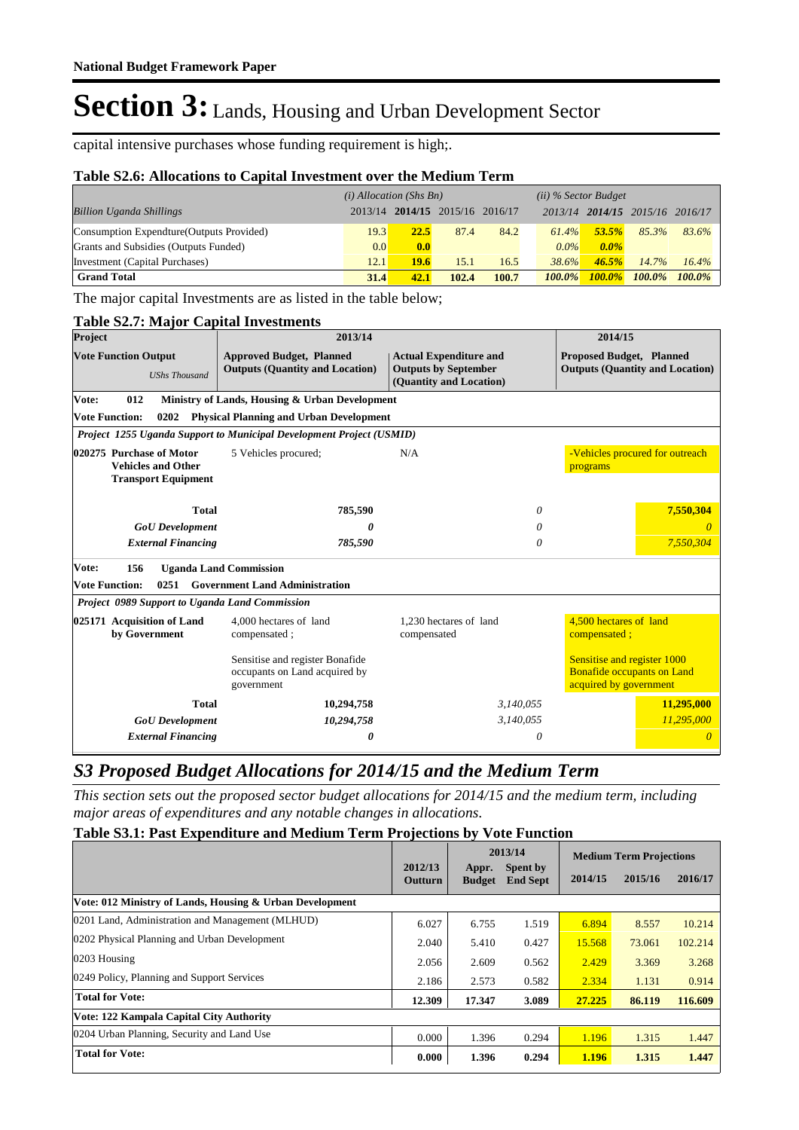capital intensive purchases whose funding requirement is high;.

### **Table S2.6: Allocations to Capital Investment over the Medium Term**

|                                           | $(i)$ Allocation (Shs Bn) |                         |       |       | (ii) % Sector Budget |                         |           |           |
|-------------------------------------------|---------------------------|-------------------------|-------|-------|----------------------|-------------------------|-----------|-----------|
| <b>Billion Uganda Shillings</b>           | 2013/14                   | 2014/15 2015/16 2016/17 |       |       |                      | 2013/14 2014/15 2015/16 |           | 2016/17   |
| Consumption Expendture (Outputs Provided) | 19.3                      | 22.5                    | 87.4  | 84.2  | 61.4%                | 53.5%                   | 85.3%     | 83.6%     |
| Grants and Subsidies (Outputs Funded)     | 0.0 <sub>l</sub>          | 0.0                     |       |       | $0.0\%$              | $0.0\%$                 |           |           |
| Investment (Capital Purchases)            | 12.1                      | <b>19.6</b>             | 15.1  | 16.5  | 38.6%                | 46.5%                   | 14.7%     | 16.4%     |
| <b>Grand Total</b>                        | 31.4                      | 42.1                    | 102.4 | 100.7 | $100.0\%$            | $100.0\%$               | $100.0\%$ | $100.0\%$ |

The major capital Investments are as listed in the table below;

#### **Table S2.7: Major Capital Investments**

| Project                                                                             | 2013/14                                                                        |                                                                                         |                                                                                            |  |
|-------------------------------------------------------------------------------------|--------------------------------------------------------------------------------|-----------------------------------------------------------------------------------------|--------------------------------------------------------------------------------------------|--|
| <b>Vote Function Output</b><br><b>UShs Thousand</b>                                 | <b>Approved Budget, Planned</b><br><b>Outputs (Quantity and Location)</b>      | <b>Actual Expenditure and</b><br><b>Outputs by September</b><br>(Quantity and Location) | <b>Proposed Budget, Planned</b><br><b>Outputs (Quantity and Location)</b>                  |  |
| Vote:<br>012                                                                        | Ministry of Lands, Housing & Urban Development                                 |                                                                                         |                                                                                            |  |
| <b>Vote Function:</b><br>0202                                                       | <b>Physical Planning and Urban Development</b>                                 |                                                                                         |                                                                                            |  |
|                                                                                     | Project 1255 Uganda Support to Municipal Development Project (USMID)           |                                                                                         |                                                                                            |  |
| 020275 Purchase of Motor<br><b>Vehicles and Other</b><br><b>Transport Equipment</b> | 5 Vehicles procured;                                                           | N/A                                                                                     | -Vehicles procured for outreach<br>programs                                                |  |
| <b>Total</b>                                                                        | 785,590                                                                        | 0                                                                                       | 7,550,304                                                                                  |  |
| <b>GoU</b> Development                                                              |                                                                                | 0                                                                                       |                                                                                            |  |
| <b>External Financing</b><br>785,590                                                |                                                                                | 0                                                                                       | 7,550,304                                                                                  |  |
| Vote:<br>156                                                                        | <b>Uganda Land Commission</b>                                                  |                                                                                         |                                                                                            |  |
| <b>Vote Function:</b><br>0251                                                       | <b>Government Land Administration</b>                                          |                                                                                         |                                                                                            |  |
| Project 0989 Support to Uganda Land Commission                                      |                                                                                |                                                                                         |                                                                                            |  |
| 025171 Acquisition of Land<br>by Government                                         | 4,000 hectares of land<br>compensated;                                         | 1.230 hectares of land<br>compensated                                                   | 4.500 hectares of land<br>compensated;                                                     |  |
|                                                                                     | Sensitise and register Bonafide<br>occupants on Land acquired by<br>government |                                                                                         | Sensitise and register 1000<br><b>Bonafide occupants on Land</b><br>acquired by government |  |
| <b>Total</b>                                                                        | 10,294,758                                                                     | 3,140,055                                                                               | 11,295,000                                                                                 |  |
| <b>GoU</b> Development                                                              | 10,294,758                                                                     | 3,140,055                                                                               | 11,295,000                                                                                 |  |
| <b>External Financing</b>                                                           | 0                                                                              | 0                                                                                       | $\theta$                                                                                   |  |

# *S3 Proposed Budget Allocations for 2014/15 and the Medium Term*

*This section sets out the proposed sector budget allocations for 2014/15 and the medium term, including major areas of expenditures and any notable changes in allocations.* 

### **Table S3.1: Past Expenditure and Medium Term Projections by Vote Function**

|                                                          |                    |                        | 2013/14                            | <b>Medium Term Projections</b> |         |         |
|----------------------------------------------------------|--------------------|------------------------|------------------------------------|--------------------------------|---------|---------|
|                                                          | 2012/13<br>Outturn | Appr.<br><b>Budget</b> | <b>Spent by</b><br><b>End Sept</b> | 2014/15                        | 2015/16 | 2016/17 |
| Vote: 012 Ministry of Lands, Housing & Urban Development |                    |                        |                                    |                                |         |         |
| 0201 Land, Administration and Management (MLHUD)         | 6.027              | 6.755                  | 1.519                              | 6.894                          | 8.557   | 10.214  |
| 0202 Physical Planning and Urban Development             | 2.040              | 5.410                  | 0.427                              | 15.568                         | 73.061  | 102.214 |
| 0203 Housing                                             | 2.056              | 2.609                  | 0.562                              | 2.429                          | 3.369   | 3.268   |
| 0249 Policy, Planning and Support Services               | 2.186              | 2.573                  | 0.582                              | 2.334                          | 1.131   | 0.914   |
| <b>Total for Vote:</b>                                   | 12.309             | 17.347                 | 3.089                              | 27.225                         | 86.119  | 116.609 |
| Vote: 122 Kampala Capital City Authority                 |                    |                        |                                    |                                |         |         |
| 0204 Urban Planning, Security and Land Use               | 0.000              | 1.396                  | 0.294                              | 1.196                          | 1.315   | 1.447   |
| <b>Total for Vote:</b>                                   | 0.000              | 1.396                  | 0.294                              | 1.196                          | 1.315   | 1.447   |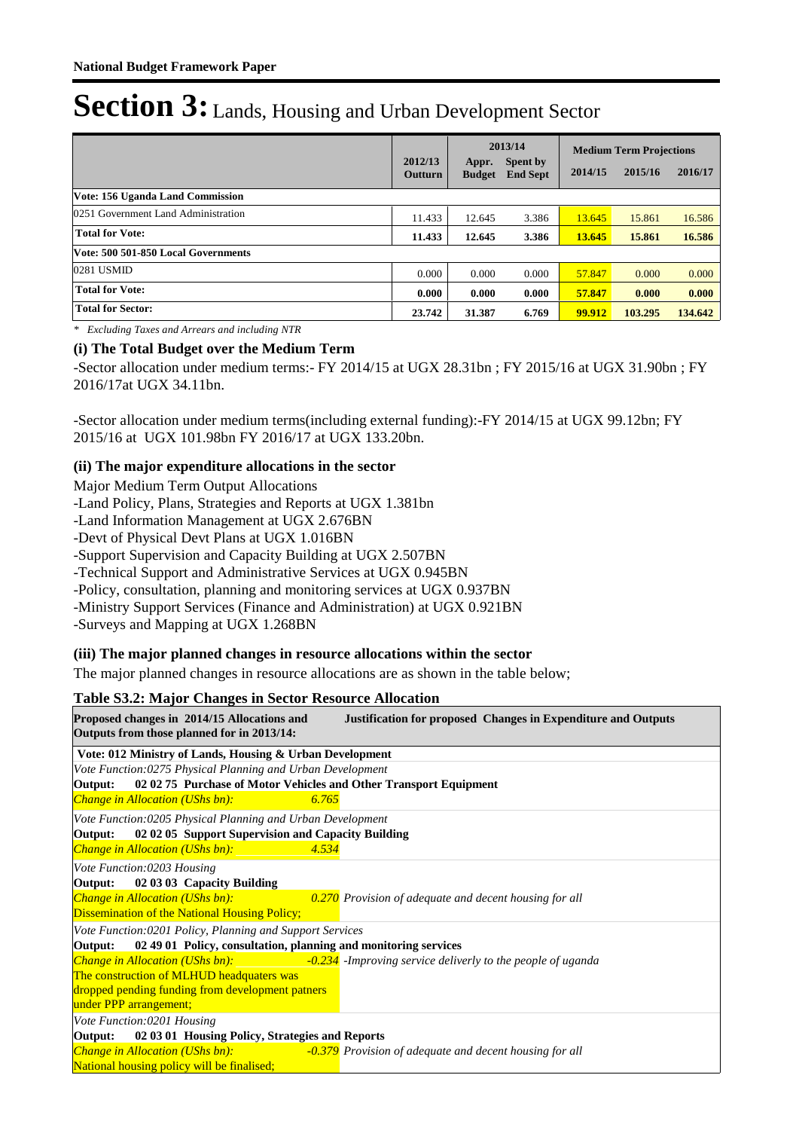|                                     | 2012/13<br><b>Outturn</b> | 2013/14<br><b>Spent by</b><br>Appr.<br><b>End Sept</b><br><b>Budget</b> |       | <b>Medium Term Projections</b><br>2015/16<br>2014/15 |         | 2016/17 |
|-------------------------------------|---------------------------|-------------------------------------------------------------------------|-------|------------------------------------------------------|---------|---------|
| Vote: 156 Uganda Land Commission    |                           |                                                                         |       |                                                      |         |         |
| 0251 Government Land Administration | 11.433                    | 12.645                                                                  | 3.386 | 13.645                                               | 15.861  | 16.586  |
| <b>Total for Vote:</b>              | 11.433                    | 12.645                                                                  | 3.386 | 13.645                                               | 15.861  | 16.586  |
| Vote: 500 501-850 Local Governments |                           |                                                                         |       |                                                      |         |         |
| 0281 USMID                          | 0.000                     | 0.000                                                                   | 0.000 | 57.847                                               | 0.000   | 0.000   |
| <b>Total for Vote:</b>              | 0.000                     | 0.000                                                                   | 0.000 | 57.847                                               | 0.000   | 0.000   |
| <b>Total for Sector:</b>            | 23.742                    | 31.387                                                                  | 6.769 | 99.912                                               | 103.295 | 134.642 |

*\* Excluding Taxes and Arrears and including NTR*

### **(i) The Total Budget over the Medium Term**

-Sector allocation under medium terms:- FY 2014/15 at UGX 28.31bn ; FY 2015/16 at UGX 31.90bn ; FY 2016/17at UGX 34.11bn.

-Sector allocation under medium terms(including external funding):-FY 2014/15 at UGX 99.12bn; FY 2015/16 at UGX 101.98bn FY 2016/17 at UGX 133.20bn.

### **(ii) The major expenditure allocations in the sector**

Major Medium Term Output Allocations

-Land Policy, Plans, Strategies and Reports at UGX 1.381bn

-Land Information Management at UGX 2.676BN

-Devt of Physical Devt Plans at UGX 1.016BN

-Support Supervision and Capacity Building at UGX 2.507BN

-Technical Support and Administrative Services at UGX 0.945BN

-Policy, consultation, planning and monitoring services at UGX 0.937BN

-Ministry Support Services (Finance and Administration) at UGX 0.921BN

-Surveys and Mapping at UGX 1.268BN

#### **(iii) The major planned changes in resource allocations within the sector**

The major planned changes in resource allocations are as shown in the table below;

#### **Table S3.2: Major Changes in Sector Resource Allocation**

| Proposed changes in 2014/15 Allocations and<br>Outputs from those planned for in 2013/14: |       | <b>Justification for proposed Changes in Expenditure and Outputs</b> |
|-------------------------------------------------------------------------------------------|-------|----------------------------------------------------------------------|
| Vote: 012 Ministry of Lands, Housing & Urban Development                                  |       |                                                                      |
| Vote Function:0275 Physical Planning and Urban Development                                |       |                                                                      |
| 02 02 75 Purchase of Motor Vehicles and Other Transport Equipment<br>Output:              |       |                                                                      |
| <b>Change in Allocation (UShs bn):</b>                                                    | 6.765 |                                                                      |
| Vote Function:0205 Physical Planning and Urban Development                                |       |                                                                      |
| 02 02 05 Support Supervision and Capacity Building<br>Output:                             |       |                                                                      |
| <b>Change in Allocation (UShs bn):</b>                                                    | 4.534 |                                                                      |
| Vote Function:0203 Housing                                                                |       |                                                                      |
| 02 03 03 Capacity Building<br>Output:                                                     |       |                                                                      |
| Change in Allocation (UShs bn):                                                           |       | 0.270 Provision of adequate and decent housing for all               |
| <b>Dissemination of the National Housing Policy;</b>                                      |       |                                                                      |
| Vote Function:0201 Policy, Planning and Support Services                                  |       |                                                                      |
| Output: 02 49 01 Policy, consultation, planning and monitoring services                   |       |                                                                      |
| <b>Change in Allocation (UShs bn):</b>                                                    |       | -0.234 -Improving service deliverly to the people of uganda          |
| The construction of MLHUD headquaters was                                                 |       |                                                                      |
| dropped pending funding from development patners                                          |       |                                                                      |
| under PPP arrangement;                                                                    |       |                                                                      |
| Vote Function:0201 Housing                                                                |       |                                                                      |
| 02 03 01 Housing Policy, Strategies and Reports<br>Output:                                |       |                                                                      |
| Change in Allocation (UShs bn):                                                           |       | <b>-0.379</b> Provision of adequate and decent housing for all       |
| National housing policy will be finalised;                                                |       |                                                                      |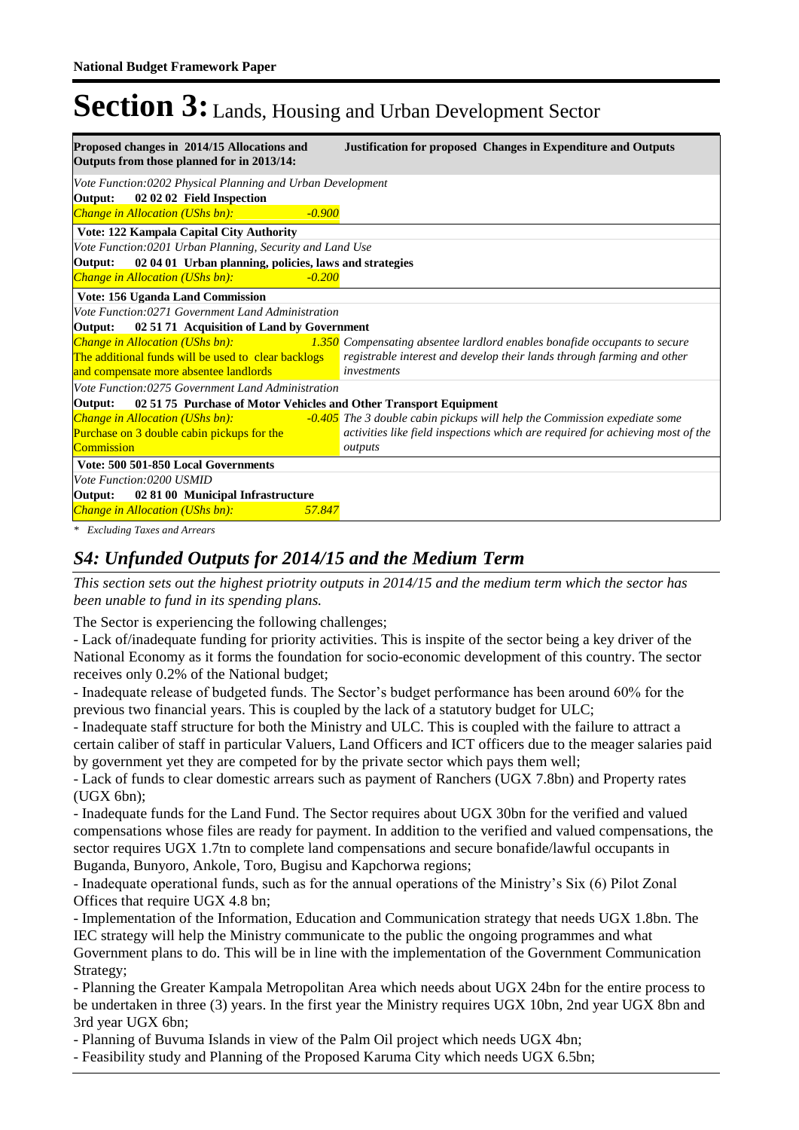| Proposed changes in 2014/15 Allocations and<br>Outputs from those planned for in 2013/14:                                               | <b>Justification for proposed Changes in Expenditure and Outputs</b>                                                                                               |
|-----------------------------------------------------------------------------------------------------------------------------------------|--------------------------------------------------------------------------------------------------------------------------------------------------------------------|
| Vote Function:0202 Physical Planning and Urban Development<br>02 02 02 Field Inspection<br>Output:                                      |                                                                                                                                                                    |
| Change in Allocation (UShs bn):<br>$-0.900$                                                                                             |                                                                                                                                                                    |
| Vote: 122 Kampala Capital City Authority                                                                                                |                                                                                                                                                                    |
| Vote Function: 0201 Urban Planning, Security and Land Use                                                                               |                                                                                                                                                                    |
| 02 04 01 Urban planning, policies, laws and strategies<br>Output:                                                                       |                                                                                                                                                                    |
| <b>Change in Allocation (UShs bn):</b><br>$-0.200$                                                                                      |                                                                                                                                                                    |
| Vote: 156 Uganda Land Commission                                                                                                        |                                                                                                                                                                    |
| Vote Function:0271 Government Land Administration                                                                                       |                                                                                                                                                                    |
| 02 51 71 Acquisition of Land by Government<br>Output:                                                                                   |                                                                                                                                                                    |
| <b>Change in Allocation (UShs bn):</b><br>The additional funds will be used to clear backlogs<br>and compensate more absentee landlords | 1.350 Compensating absentee lardlord enables bonafide occupants to secure<br>registrable interest and develop their lands through farming and other<br>investments |
| Vote Function:0275 Government Land Administration                                                                                       |                                                                                                                                                                    |
| 02 51 75 Purchase of Motor Vehicles and Other Transport Equipment<br>Output:                                                            |                                                                                                                                                                    |
| <b>Change in Allocation (UShs bn):</b>                                                                                                  | -0.405 The 3 double cabin pickups will help the Commission expediate some                                                                                          |
| Purchase on 3 double cabin pickups for the                                                                                              | activities like field inspections which are required for achieving most of the                                                                                     |
| Commission                                                                                                                              | outputs                                                                                                                                                            |
| Vote: 500 501-850 Local Governments                                                                                                     |                                                                                                                                                                    |
| Vote Function:0200 USMID                                                                                                                |                                                                                                                                                                    |
| Output: 02 81 00 Municipal Infrastructure                                                                                               |                                                                                                                                                                    |
| <b>Change in Allocation (UShs bn):</b><br>57.847                                                                                        |                                                                                                                                                                    |
|                                                                                                                                         |                                                                                                                                                                    |

*\* Excluding Taxes and Arrears*

# *S4: Unfunded Outputs for 2014/15 and the Medium Term*

*This section sets out the highest priotrity outputs in 2014/15 and the medium term which the sector has been unable to fund in its spending plans.*

The Sector is experiencing the following challenges;

- Lack of/inadequate funding for priority activities. This is inspite of the sector being a key driver of the National Economy as it forms the foundation for socio-economic development of this country. The sector receives only 0.2% of the National budget;

- Inadequate release of budgeted funds. The Sector's budget performance has been around 60% for the previous two financial years. This is coupled by the lack of a statutory budget for ULC;

- Inadequate staff structure for both the Ministry and ULC. This is coupled with the failure to attract a certain caliber of staff in particular Valuers, Land Officers and ICT officers due to the meager salaries paid by government yet they are competed for by the private sector which pays them well;

- Lack of funds to clear domestic arrears such as payment of Ranchers (UGX 7.8bn) and Property rates (UGX 6bn);

- Inadequate funds for the Land Fund. The Sector requires about UGX 30bn for the verified and valued compensations whose files are ready for payment. In addition to the verified and valued compensations, the sector requires UGX 1.7tn to complete land compensations and secure bonafide/lawful occupants in Buganda, Bunyoro, Ankole, Toro, Bugisu and Kapchorwa regions;

- Inadequate operational funds, such as for the annual operations of the Ministry's Six (6) Pilot Zonal Offices that require UGX 4.8 bn;

- Implementation of the Information, Education and Communication strategy that needs UGX 1.8bn. The IEC strategy will help the Ministry communicate to the public the ongoing programmes and what Government plans to do. This will be in line with the implementation of the Government Communication Strategy;

- Planning the Greater Kampala Metropolitan Area which needs about UGX 24bn for the entire process to be undertaken in three (3) years. In the first year the Ministry requires UGX 10bn, 2nd year UGX 8bn and 3rd year UGX 6bn;

- Planning of Buvuma Islands in view of the Palm Oil project which needs UGX 4bn;

- Feasibility study and Planning of the Proposed Karuma City which needs UGX 6.5bn;